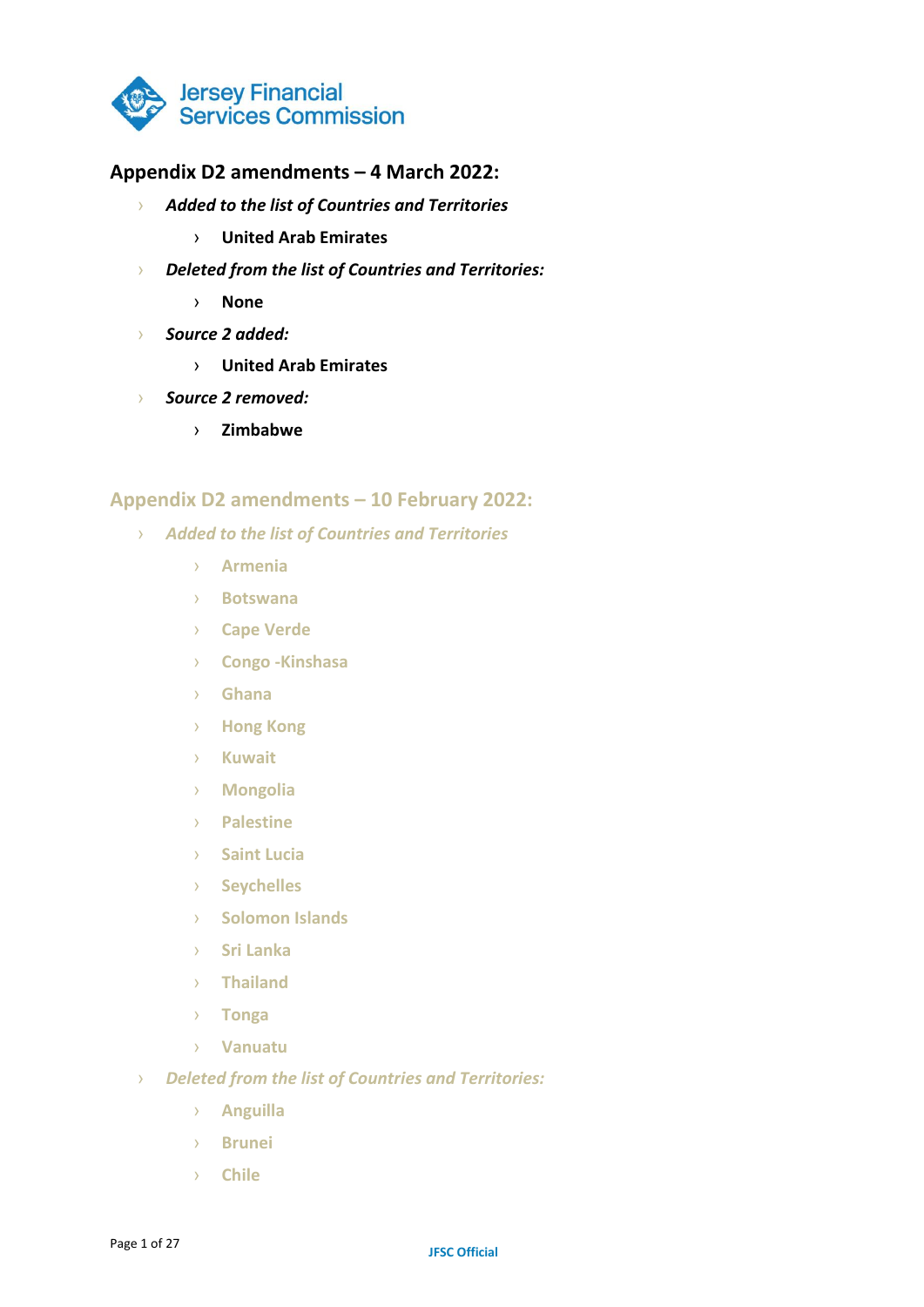

### **Appendix D2 amendments – 4 March 2022:**

- › *Added to the list of Countries and Territories*
	- › **United Arab Emirates**
- › *Deleted from the list of Countries and Territories:*
	- › **None**
- › *Source 2 added:*
	- › **United Arab Emirates**
- › *Source 2 removed:*
	- › **Zimbabwe**

#### **Appendix D2 amendments – 10 February 2022:**

- › *Added to the list of Countries and Territories*
	- › **Armenia**
	- › **Botswana**
	- › **Cape Verde**
	- › **Congo -Kinshasa**
	- › **Ghana**
	- › **Hong Kong**
	- › **Kuwait**
	- › **Mongolia**
	- › **Palestine**
	- › **Saint Lucia**
	- › **Seychelles**
	- › **Solomon Islands**
	- › **Sri Lanka**
	- › **Thailand**
	- › **Tonga**
	- › **Vanuatu**
- › *Deleted from the list of Countries and Territories:*
	- › **Anguilla**
	- › **Brunei**
	- › **Chile**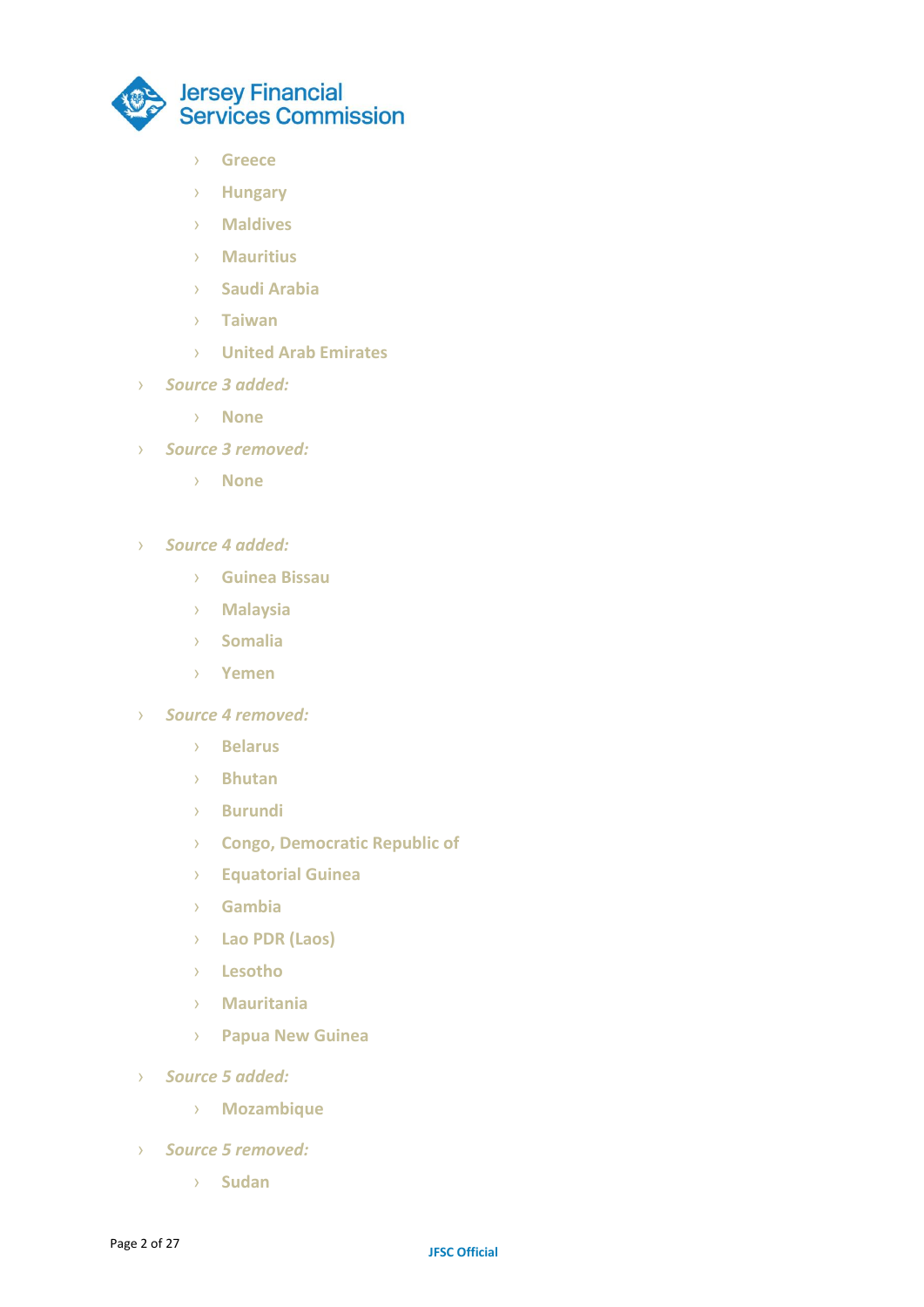

- › **Greece**
- › **Hungary**
- › **Maldives**
- › **Mauritius**
- › **Saudi Arabia**
- › **Taiwan**
- › **United Arab Emirates**
- › *Source 3 added:*
	- › **None**
- › *Source 3 removed:*
	- › **None**
- › *Source 4 added:*
	- › **Guinea Bissau**
	- › **Malaysia**
	- › **Somalia**
	- › **Yemen**
- › *Source 4 removed:*
	- › **Belarus**
	- › **Bhutan**
	- › **Burundi**
	- › **Congo, Democratic Republic of**
	- › **Equatorial Guinea**
	- › **Gambia**
	- › **Lao PDR (Laos)**
	- › **Lesotho**
	- › **Mauritania**
	- › **Papua New Guinea**
- › *Source 5 added:*
	- › **Mozambique**
- › *Source 5 removed:*
	- › **Sudan**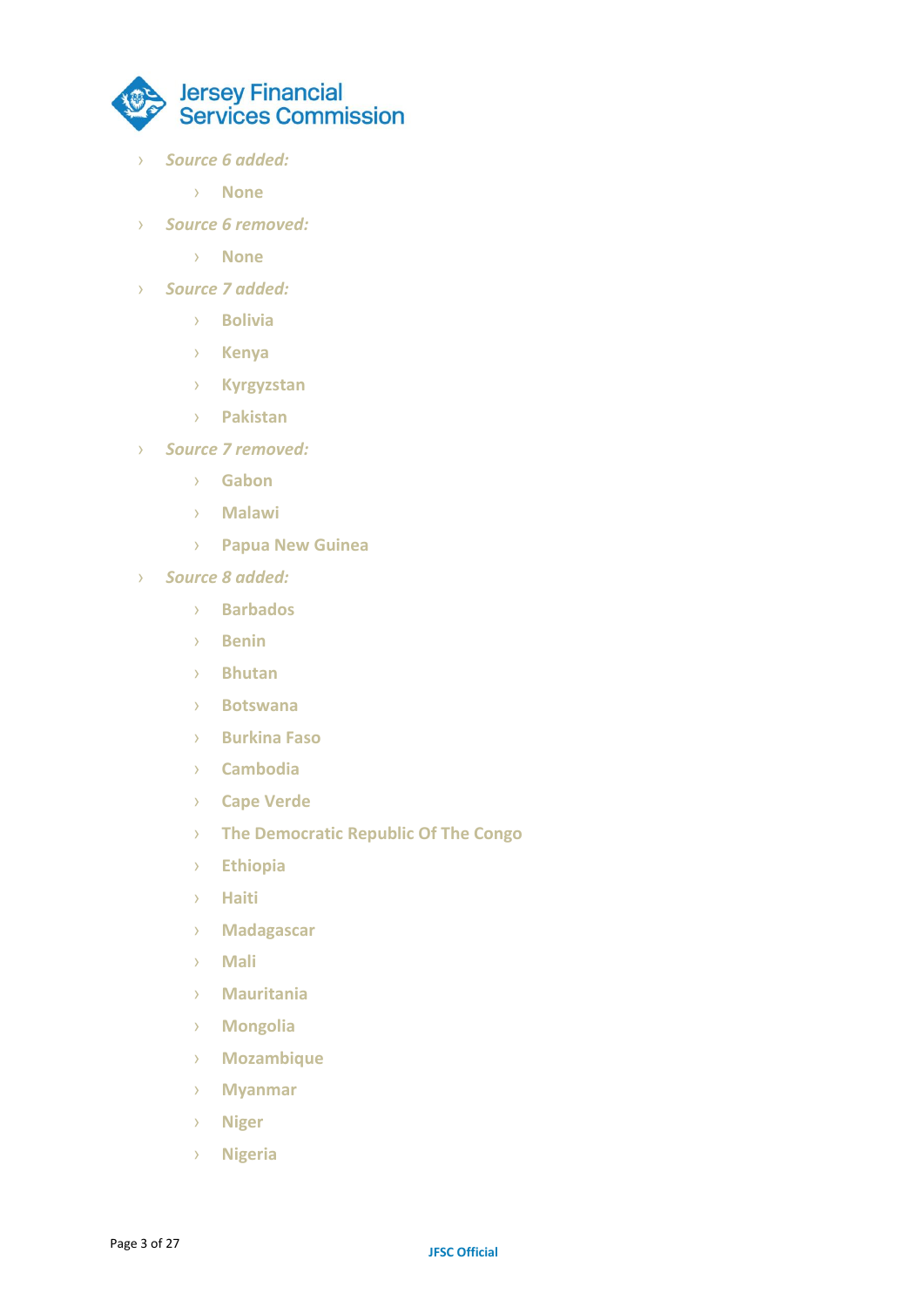

- › *Source 6 added:*
	- › **None**
- › *Source 6 removed:*
	- › **None**
- › *Source 7 added:*
	- › **Bolivia**
	- › **Kenya**
	- › **Kyrgyzstan**
	- › **Pakistan**
- › *Source 7 removed:*
	- › **Gabon**
	- › **Malawi**
	- › **Papua New Guinea**
- › *Source 8 added:*
	- › **Barbados**
	- › **Benin**
	- › **Bhutan**
	- › **Botswana**
	- › **Burkina Faso**
	- › **Cambodia**
	- › **Cape Verde**
	- › **The Democratic Republic Of The Congo**
	- › **Ethiopia**
	- › **Haiti**
	- › **Madagascar**
	- › **Mali**
	- › **Mauritania**
	- › **Mongolia**
	- › **Mozambique**
	- › **Myanmar**
	- › **Niger**
	- › **Nigeria**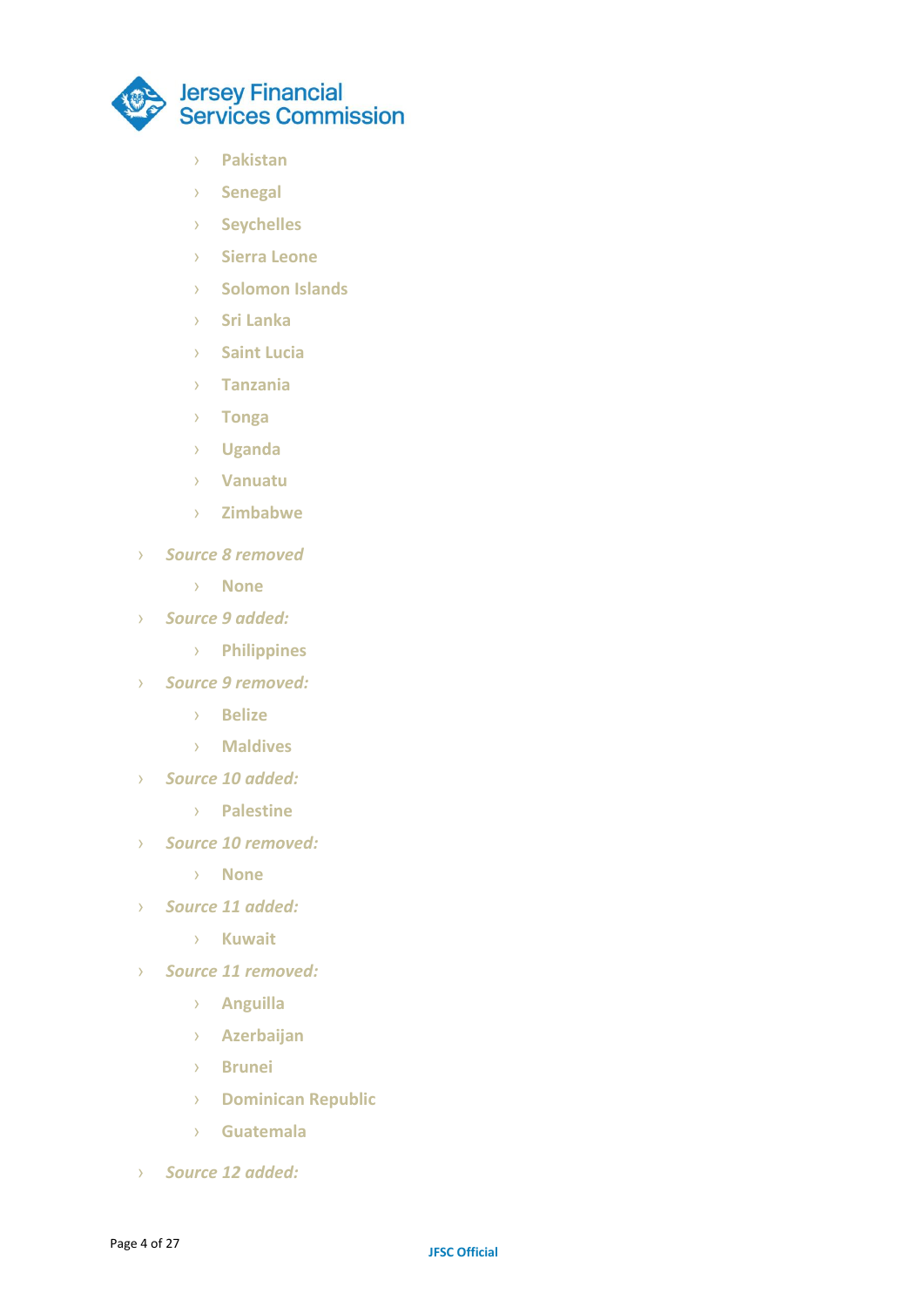

- › **Pakistan**
- › **Senegal**
- › **Seychelles**
- › **Sierra Leone**
- › **Solomon Islands**
- › **Sri Lanka**
- › **Saint Lucia**
- › **Tanzania**
- › **Tonga**
- › **Uganda**
- › **Vanuatu**
- › **Zimbabwe**
- › *Source 8 removed*
	- › **None**
- › *Source 9 added:*
	- › **Philippines**
- › *Source 9 removed:*
	- › **Belize**
	- › **Maldives**
- › *Source 10 added:*
	- › **Palestine**
- › *Source 10 removed:*
	- › **None**
- › *Source 11 added:*
	- › **Kuwait**
- › *Source 11 removed:*
	- › **Anguilla**
	- › **Azerbaijan**
	- › **Brunei**
	- › **Dominican Republic**
	- › **Guatemala**
- › *Source 12 added:*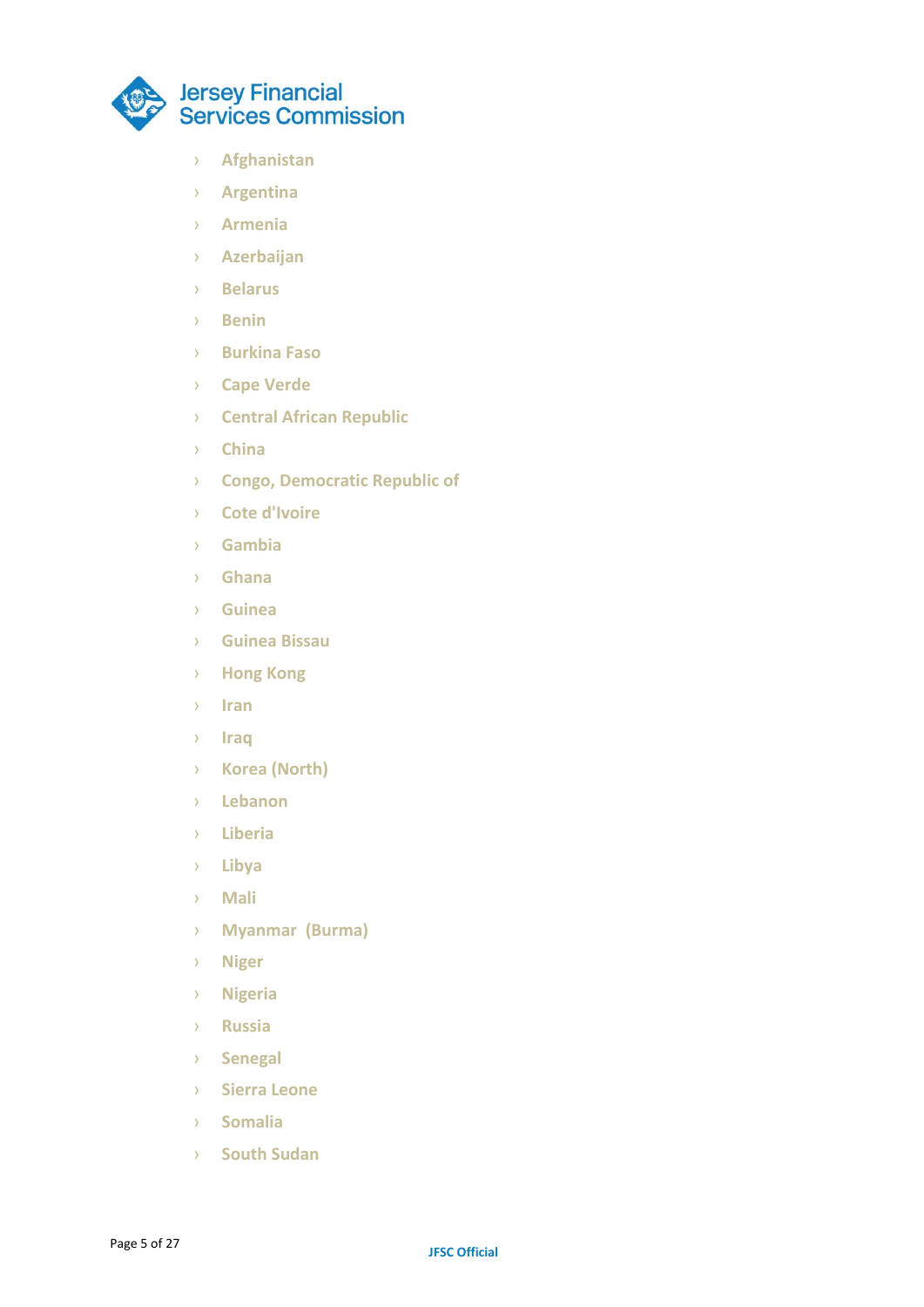

- › **Afghanistan**
- › **Argentina**
- › **Armenia**
- › **Azerbaijan**
- › **Belarus**
- › **Benin**
- › **Burkina Faso**
- › **Cape Verde**
- › **Central African Republic**
- › **China**
- › **Congo, Democratic Republic of**
- › **Cote d'Ivoire**
- › **Gambia**
- › **Ghana**
- › **Guinea**
- › **Guinea Bissau**
- › **Hong Kong**
- › **Iran**
- › **Iraq**
- › **Korea (North)**
- › **Lebanon**
- › **Liberia**
- › **Libya**
- › **Mali**
- › **Myanmar (Burma)**
- › **Niger**
- › **Nigeria**
- › **Russia**
- › **Senegal**
- › **Sierra Leone**
- › **Somalia**
- › **South Sudan**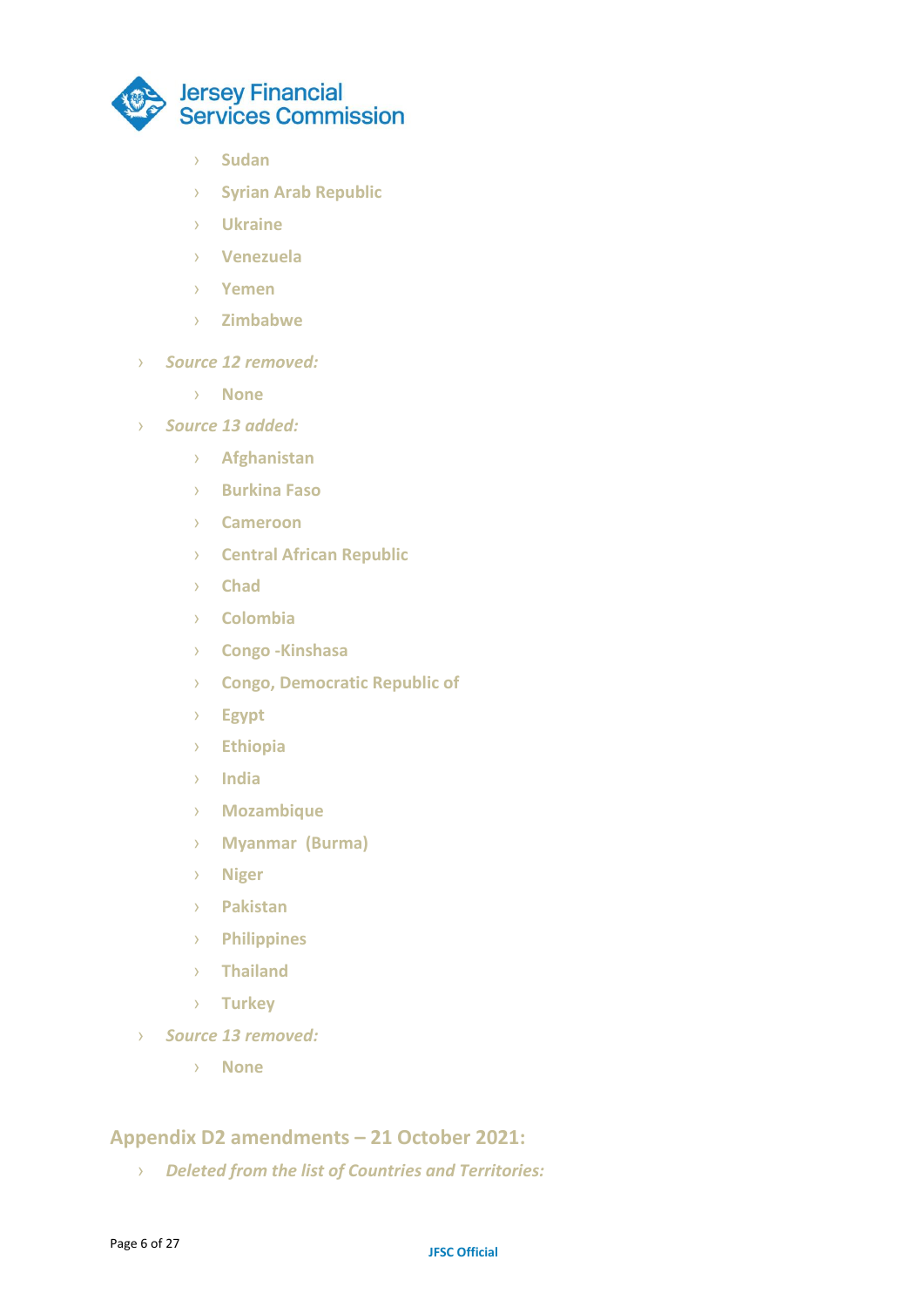

- › **Sudan**
- › **Syrian Arab Republic**
- › **Ukraine**
- › **Venezuela**
- › **Yemen**
- › **Zimbabwe**
- › *Source 12 removed:*
	- › **None**
- › *Source 13 added:*
	- › **Afghanistan**
	- › **Burkina Faso**
	- › **Cameroon**
	- › **Central African Republic**
	- › **Chad**
	- › **Colombia**
	- › **Congo -Kinshasa**
	- › **Congo, Democratic Republic of**
	- › **Egypt**
	- › **Ethiopia**
	- › **India**
	- › **Mozambique**
	- › **Myanmar (Burma)**
	- › **Niger**
	- › **Pakistan**
	- › **Philippines**
	- › **Thailand**
	- › **Turkey**
- › *Source 13 removed:*
	- › **None**

# **Appendix D2 amendments – 21 October 2021:**

› *Deleted from the list of Countries and Territories:*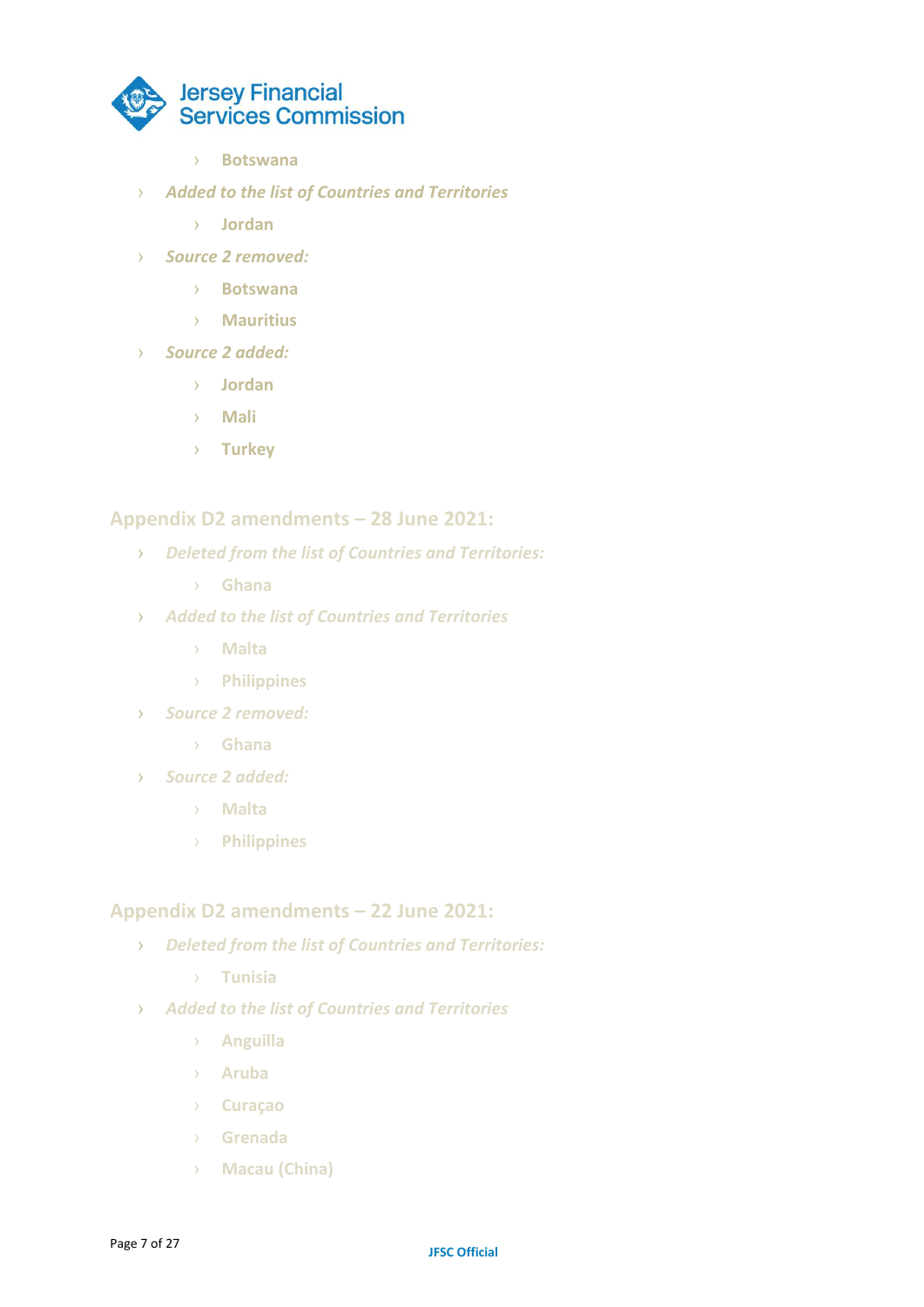

- › **Botswana**
- › *Added to the list of Countries and Territories*
	- › **Jordan**
- › *Source 2 removed:*
	- › **Botswana**
	- › **Mauritius**
- › *Source 2 added:*
	- › **Jordan**
	- › **Mali**
	- › **Turkey**

#### **Appendix D2 amendments – 28 June 2021:**

- › *Deleted from the list of Countries and Territories:*
	- › **Ghana**
- › *Added to the list of Countries and Territories*
	- › **Malta**
	- › **Philippines**
- › *Source 2 removed:*
	- › **Ghana**
- › *Source 2 added:*
	- › **Malta**
	- › **Philippines**

#### **Appendix D2 amendments – 22 June 2021:**

- › *Deleted from the list of Countries and Territories:*
	- › **Tunisia**
- › *Added to the list of Countries and Territories*
	- › **Anguilla**
	- › **Aruba**
	- › **Curaçao**
	- › **Grenada**
	- › **Macau (China)**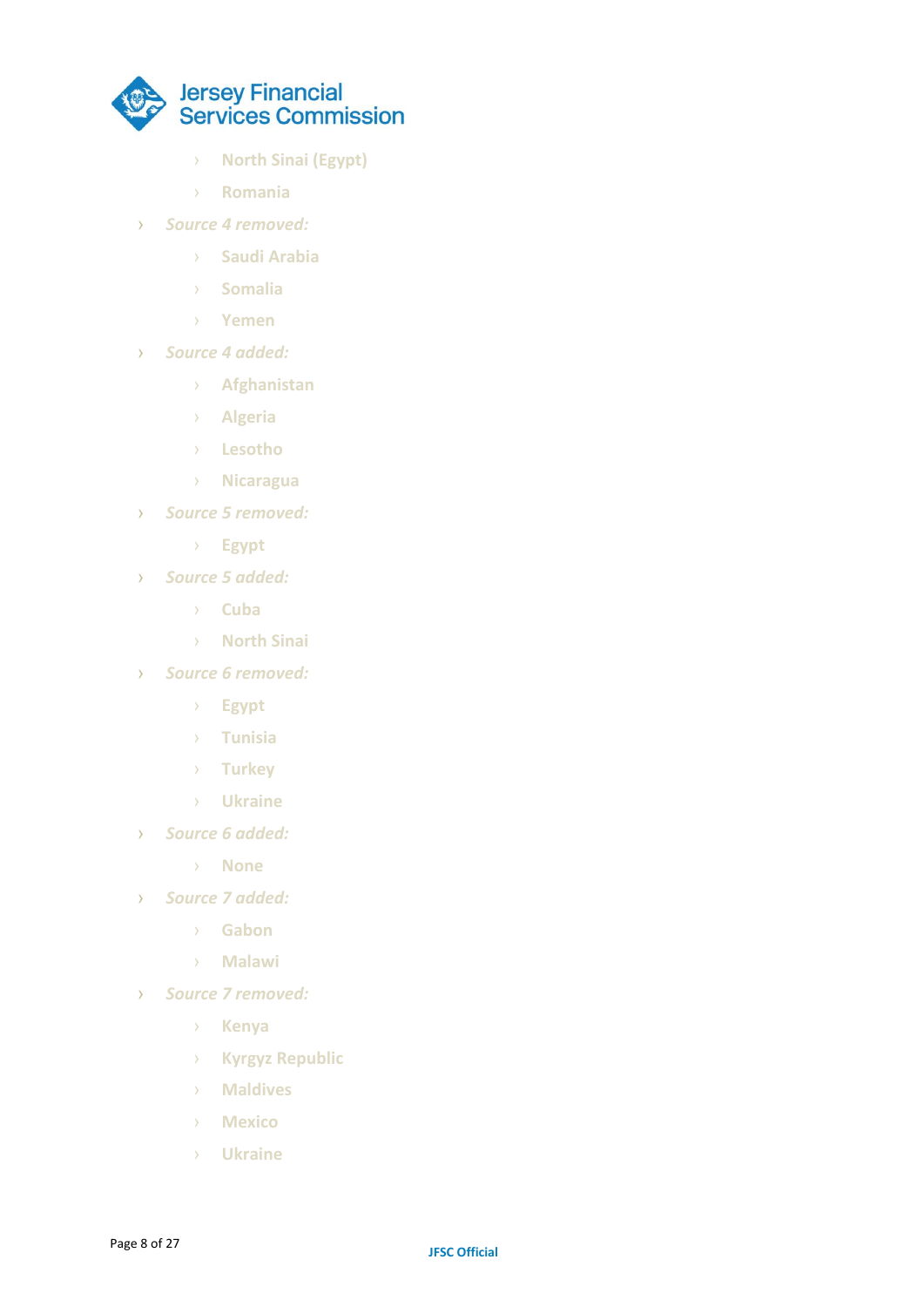

- › **North Sinai (Egypt)**
- › **Romania**
- › *Source 4 removed:*
	- › **Saudi Arabia**
	- › **Somalia**
	- › **Yemen**
- › *Source 4 added:*
	- › **Afghanistan**
	- › **Algeria**
	- › **Lesotho**
	- › **Nicaragua**
- › *Source 5 removed:*
	- › **Egypt**
- › *Source 5 added:*
	- › **Cuba**
	- › **North Sinai**
- › *Source 6 removed:*
	- › **Egypt**
	- › **Tunisia**
	- › **Turkey**
	- › **Ukraine**
- › *Source 6 added:*
	- › **None**
- › *Source 7 added:*
	- › **Gabon**
	- › **Malawi**
- › *Source 7 removed:*
	- › **Kenya**
	- › **Kyrgyz Republic**
	- › **Maldives**
	- › **Mexico**
	- › **Ukraine**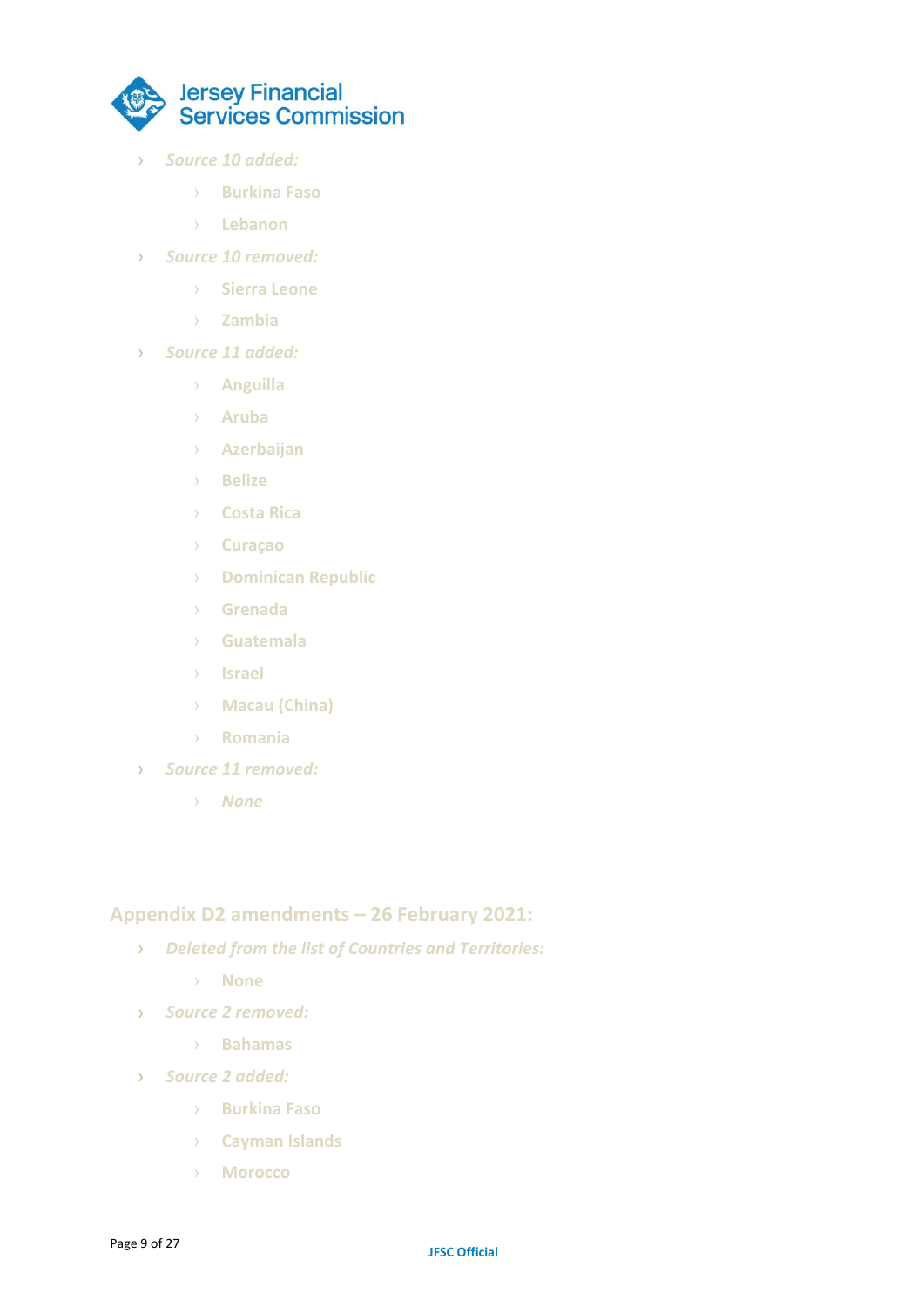

- › *Source 10 added:*
	- › **Burkina Faso**
	- › **Lebanon**
- › *Source 10 removed:*
	- › **Sierra Leone**
	- › **Zambia**
- › *Source 11 added:*
	- › **Anguilla**
	- › **Aruba**
	- › **Azerbaijan**
	- › **Belize**
	- › **Costa Rica**
	- › **Curaçao**
	- › **Dominican Republic**
	- › **Grenada**
	- › **Guatemala**
	- › **Israel**
	- › **Macau (China)**
	- › **Romania**
- › *Source 11 removed:*
	- › *None*

#### **Appendix D2 amendments – 26 February 2021:**

- › *Deleted from the list of Countries and Territories:*
	- › **None**
- › *Source 2 removed:*
	- › **Bahamas**
- › *Source 2 added:*
	- › **Burkina Faso**
	- › **Cayman Islands**
	- › **Morocco**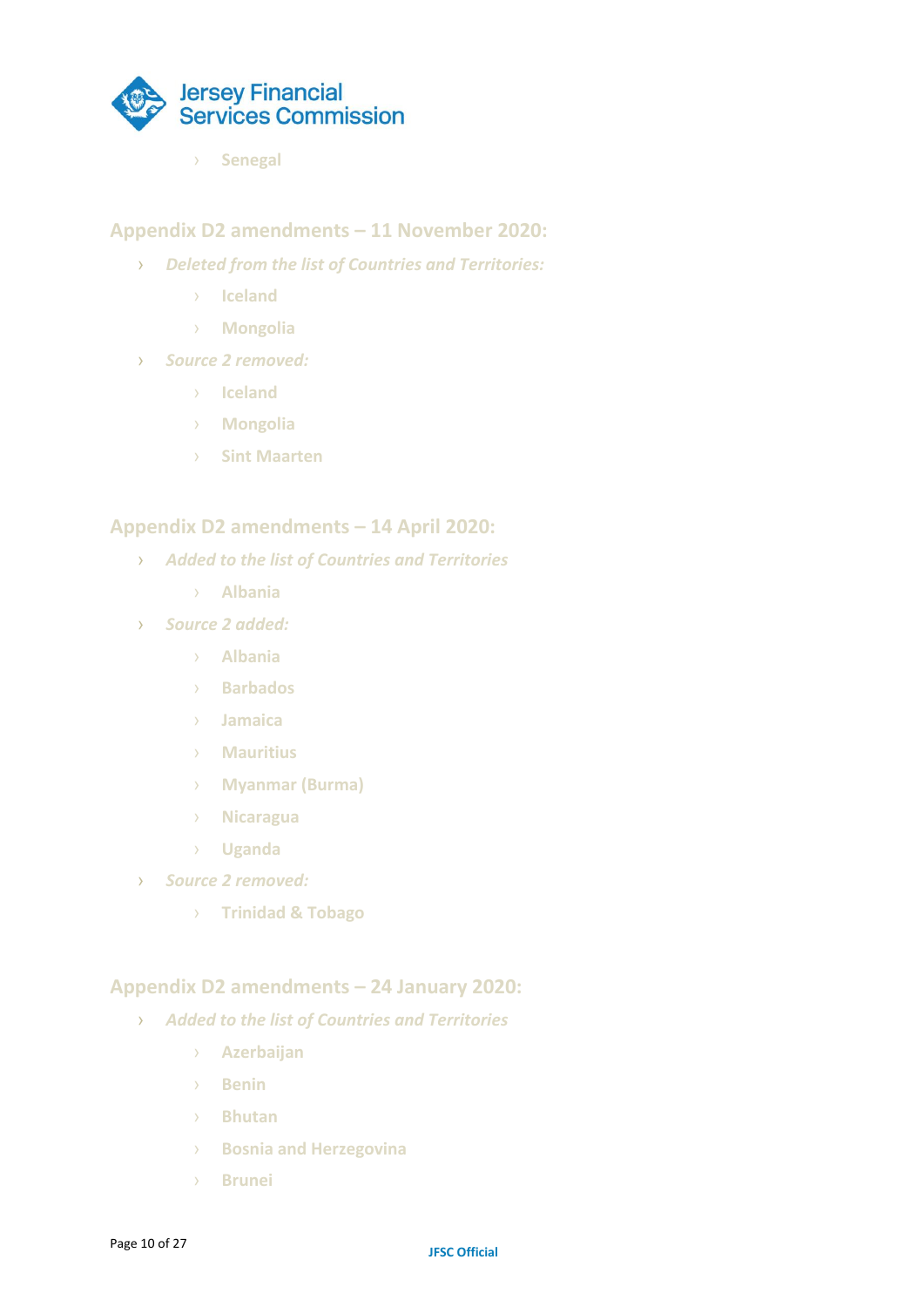

› **Senegal**

#### **Appendix D2 amendments – 11 November 2020:**

- › *Deleted from the list of Countries and Territories:*
	- › **Iceland**
	- › **Mongolia**
- › *Source 2 removed:*
	- › **Iceland**
	- › **Mongolia**
	- › **Sint Maarten**

#### **Appendix D2 amendments – 14 April 2020:**

- › *Added to the list of Countries and Territories*
	- › **Albania**
- › *Source 2 added:*
	- › **Albania**
	- › **Barbados**
	- › **Jamaica**
	- › **Mauritius**
	- › **Myanmar (Burma)**
	- › **Nicaragua**
	- › **Uganda**
- › *Source 2 removed:*
	- › **Trinidad & Tobago**

#### **Appendix D2 amendments – 24 January 2020:**

- › *Added to the list of Countries and Territories*
	- › **Azerbaijan**
	- › **Benin**
	- › **Bhutan**
	- › **Bosnia and Herzegovina**
	- › **Brunei**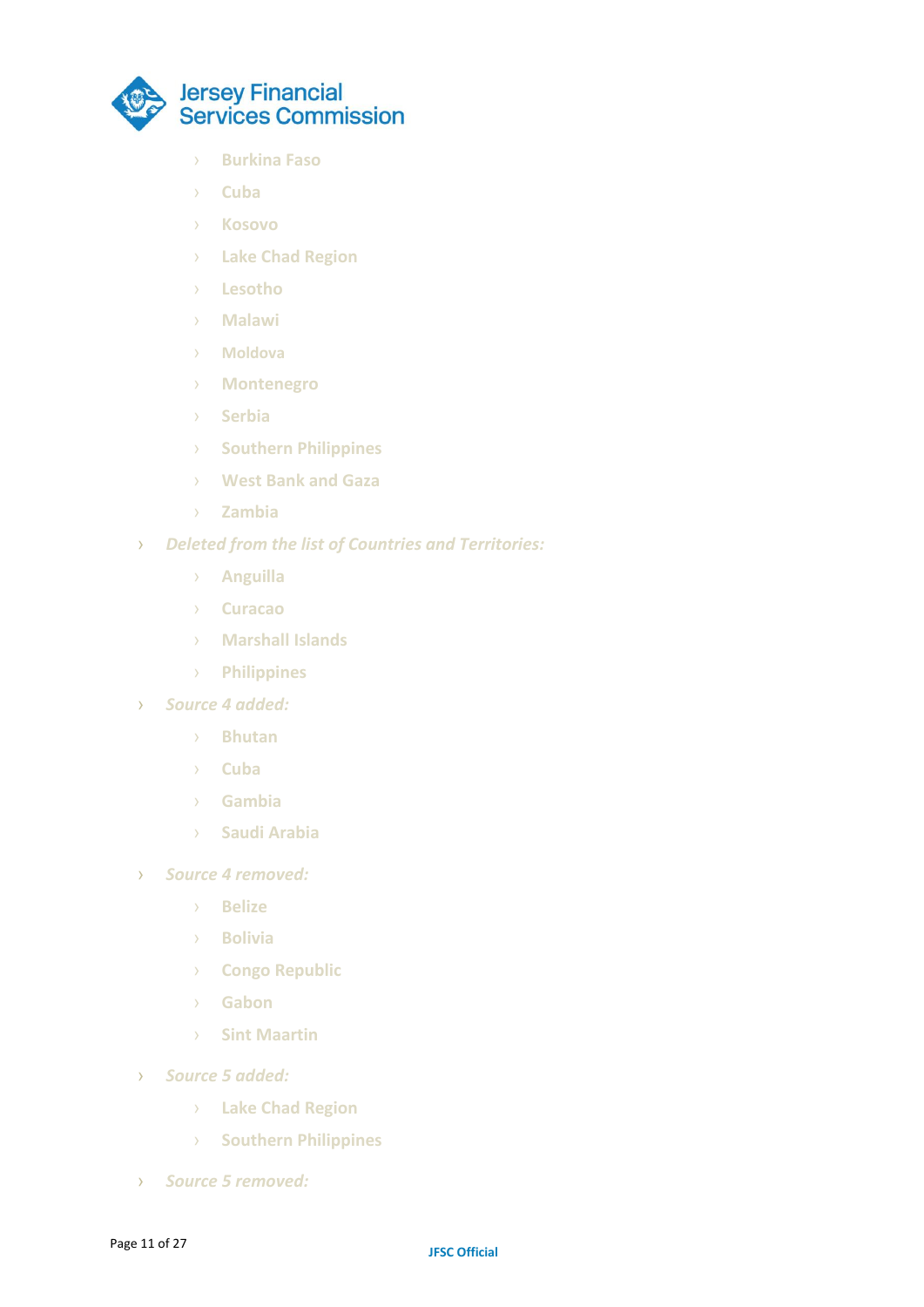

- › **Burkina Faso**
- › **Cuba**
- › **Kosovo**
- › **Lake Chad Region**
- › **Lesotho**
- › **Malawi**
- › **Moldova**
- › **Montenegro**
- › **Serbia**
- › **Southern Philippines**
- › **West Bank and Gaza**
- › **Zambia**
- › *Deleted from the list of Countries and Territories:*
	- › **Anguilla**
	- › **Curacao**
	- › **Marshall Islands**
	- › **Philippines**
- › *Source 4 added:*
	- › **Bhutan**
	- › **Cuba**
	- › **Gambia**
	- › **Saudi Arabia**
- › *Source 4 removed:*
	- › **Belize**
	- › **Bolivia**
	- › **Congo Republic**
	- › **Gabon**
	- › **Sint Maartin**
- › *Source 5 added:*
	- › **Lake Chad Region**
	- › **Southern Philippines**
- › *Source 5 removed:*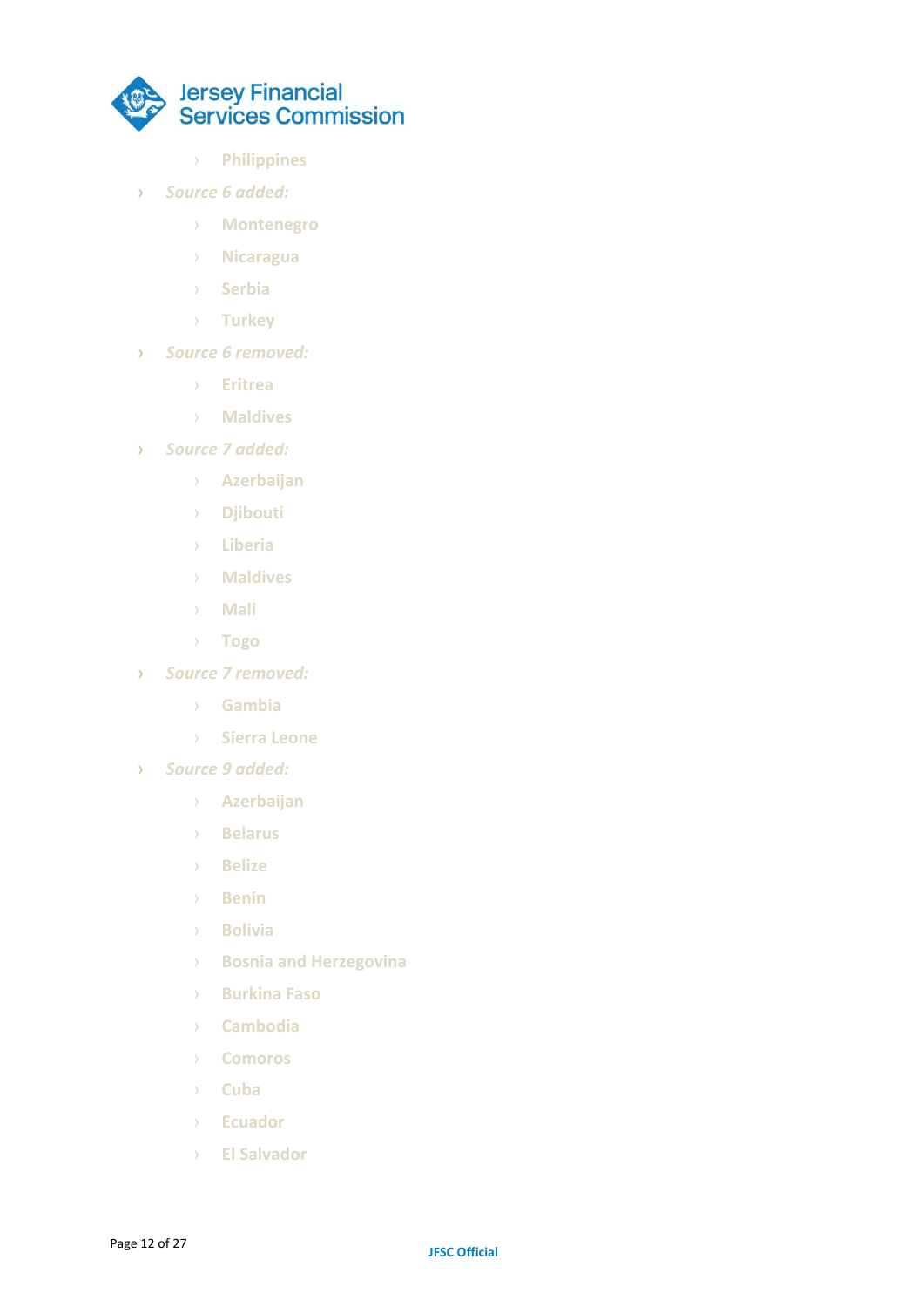

- › **Philippines**
- › *Source 6 added:*
	- › **Montenegro**
	- › **Nicaragua**
	- › **Serbia**
	- › **Turkey**
- › *Source 6 removed:*
	- › **Eritrea**
	- › **Maldives**
- › *Source 7 added:*
	- › **Azerbaijan**
	- › **Djibouti**
	- › **Liberia**
	- › **Maldives**
	- › **Mali**
	- › **Togo**
- › *Source 7 removed:*
	- › **Gambia**
	- › **Sierra Leone**
- › *Source 9 added:*
	- › **Azerbaijan**
	- › **Belarus**
	- › **Belize**
	- › **Benin**
	- › **Bolivia**
	- › **Bosnia and Herzegovina**
	- › **Burkina Faso**
	- › **Cambodia**
	- › **Comoros**
	- › **Cuba**
	- › **Ecuador**
	- › **El Salvador**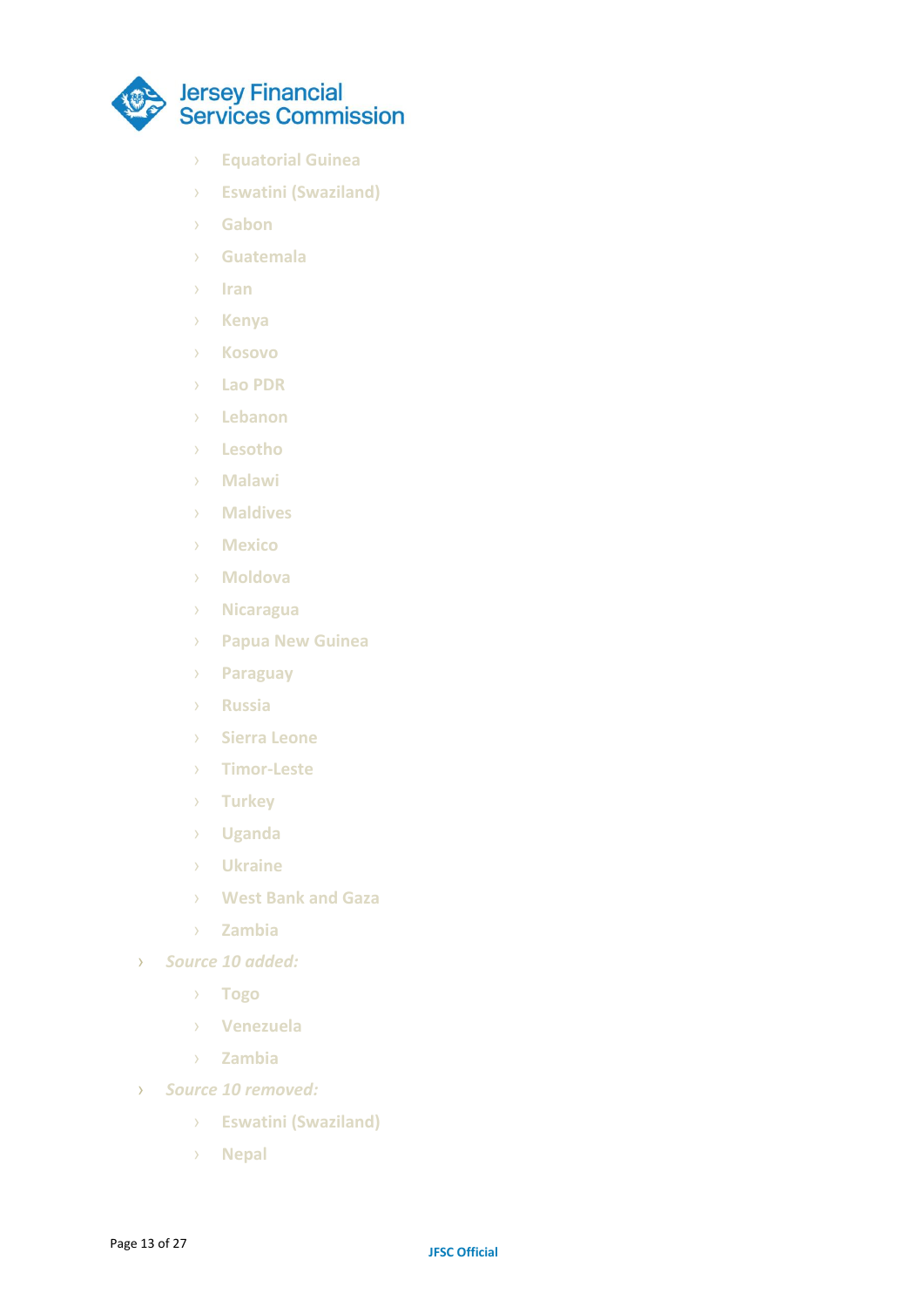

- › **Equatorial Guinea**
- › **Eswatini (Swaziland)**
- › **Gabon**
- › **Guatemala**
- › **Iran**
- › **Kenya**
- › **Kosovo**
- › **Lao PDR**
- › **Lebanon**
- › **Lesotho**
- › **Malawi**
- › **Maldives**
- › **Mexico**
- › **Moldova**
- › **Nicaragua**
- › **Papua New Guinea**
- › **Paraguay**
- › **Russia**
- › **Sierra Leone**
- › **Timor-Leste**
- › **Turkey**
- › **Uganda**
- › **Ukraine**
- › **West Bank and Gaza**
- › **Zambia**
- › *Source 10 added:*
	- › **Togo**
	- › **Venezuela**
	- › **Zambia**
- › *Source 10 removed:*
	- › **Eswatini (Swaziland)**
	- › **Nepal**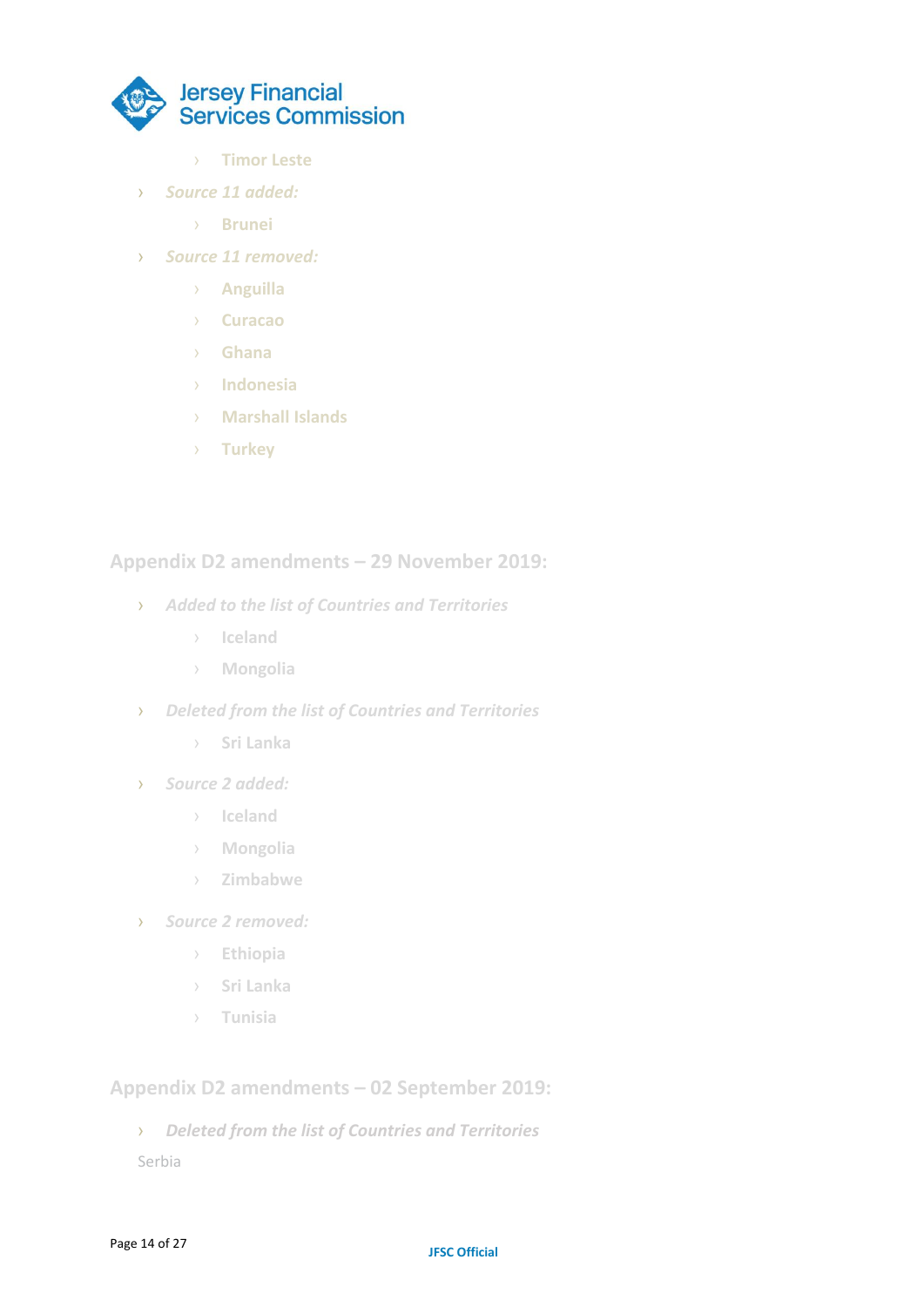

- › **Timor Leste**
- › *Source 11 added:*
	- › **Brunei**
- › *Source 11 removed:*
	- › **Anguilla**
	- › **Curacao**
	- › **Ghana**
	- › **Indonesia**
	- › **Marshall Islands**
	- › **Turkey**

**Appendix D2 amendments – 29 November 2019:**

- › *Added to the list of Countries and Territories*
	- › **Iceland**
	- › **Mongolia**
- › *Deleted from the list of Countries and Territories*
	- › **Sri Lanka**
- › *Source 2 added:*
	- › **Iceland**
	- › **Mongolia**
	- › **Zimbabwe**
- › *Source 2 removed:*
	- › **Ethiopia**
	- › **Sri Lanka**
	- › **Tunisia**

**Appendix D2 amendments – 02 September 2019:**

› *Deleted from the list of Countries and Territories*

Serbia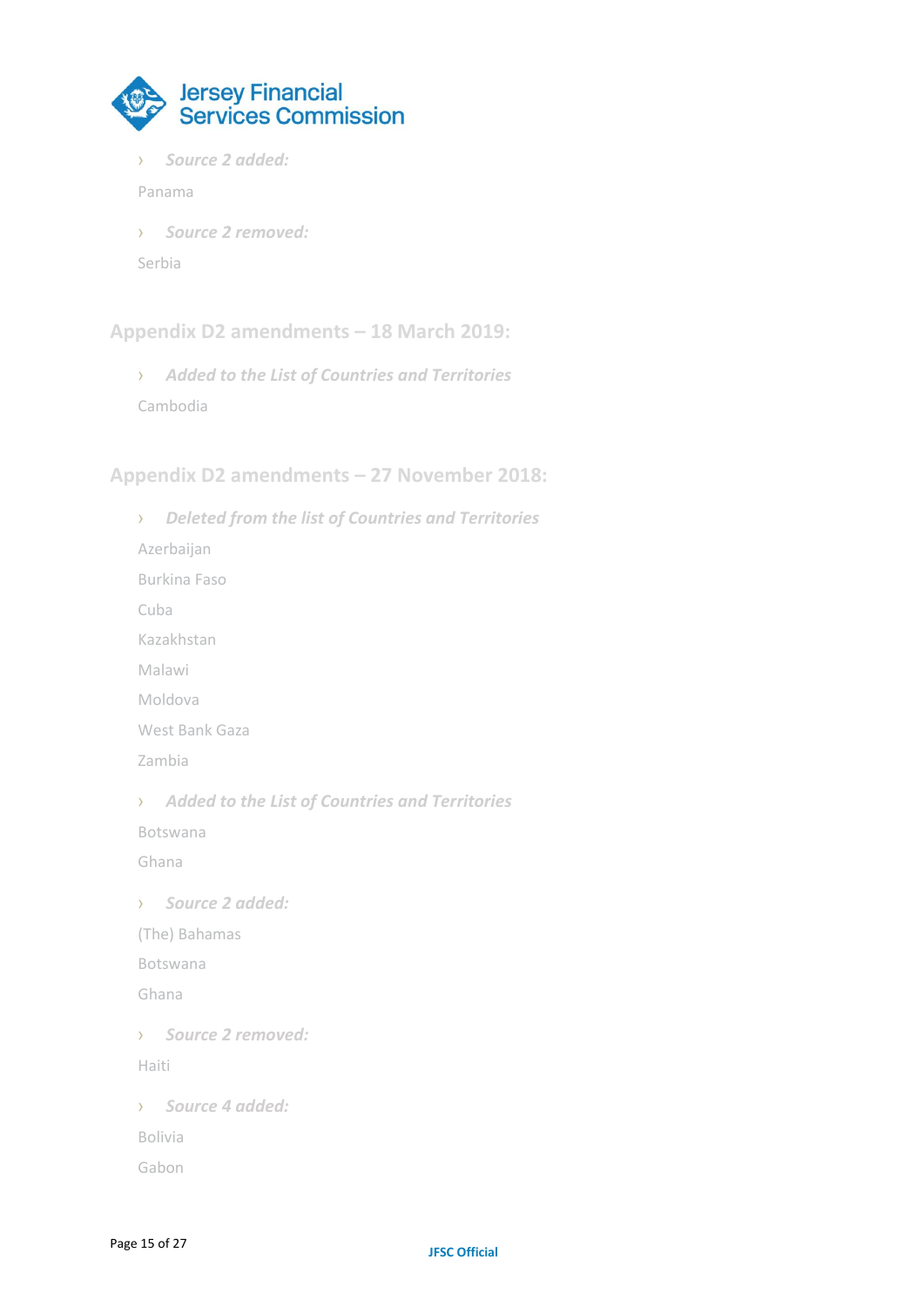

› *Source 2 added:*

Panama

› *Source 2 removed:*

Serbia

**Appendix D2 amendments – 18 March 2019:**

› *Added to the List of Countries and Territories* Cambodia

**Appendix D2 amendments – 27 November 2018:**

› *Deleted from the list of Countries and Territories* Azerbaijan Burkina Faso Cuba Kazakhstan Malawi Moldova West Bank Gaza Zambia › *Added to the List of Countries and Territories* Botswana Ghana › *Source 2 added:* (The) Bahamas Botswana Ghana › *Source 2 removed:* Haiti › *Source 4 added:* Bolivia Gabon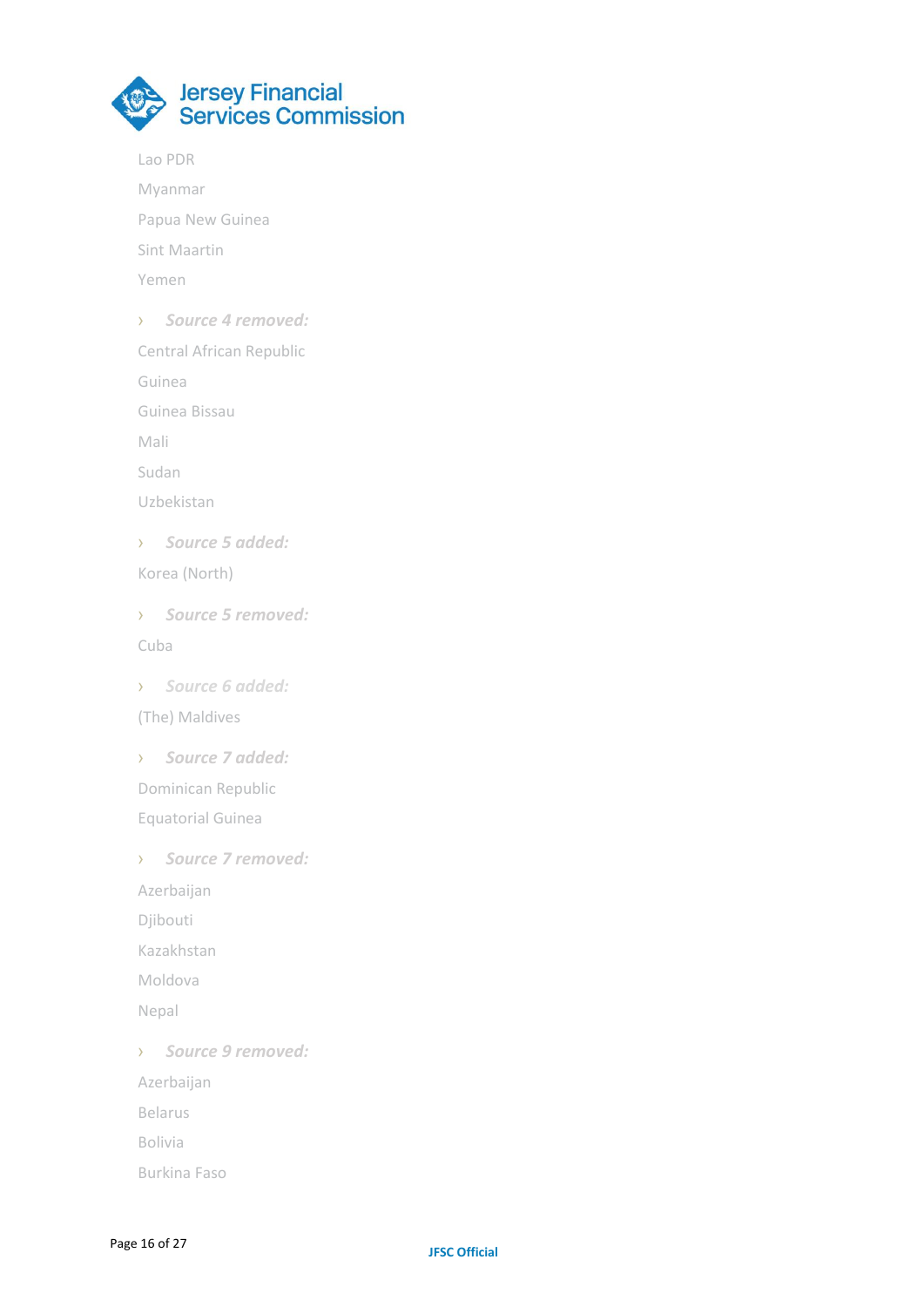

Lao PDR

Myanmar

Papua New Guinea

Sint Maartin

Yemen

› *Source 4 removed:*

Central African Republic

Guinea

Guinea Bissau

Mali

Sudan

Uzbekistan

› *Source 5 added:* Korea (North)

› *Source 5 removed:* Cuba

› *Source 6 added:* (The) Maldives

› *Source 7 added:* Dominican Republic Equatorial Guinea

› *Source 7 removed:* Azerbaijan Djibouti Kazakhstan Moldova Nepal

› *Source 9 removed:* Azerbaijan Belarus

Bolivia

Burkina Faso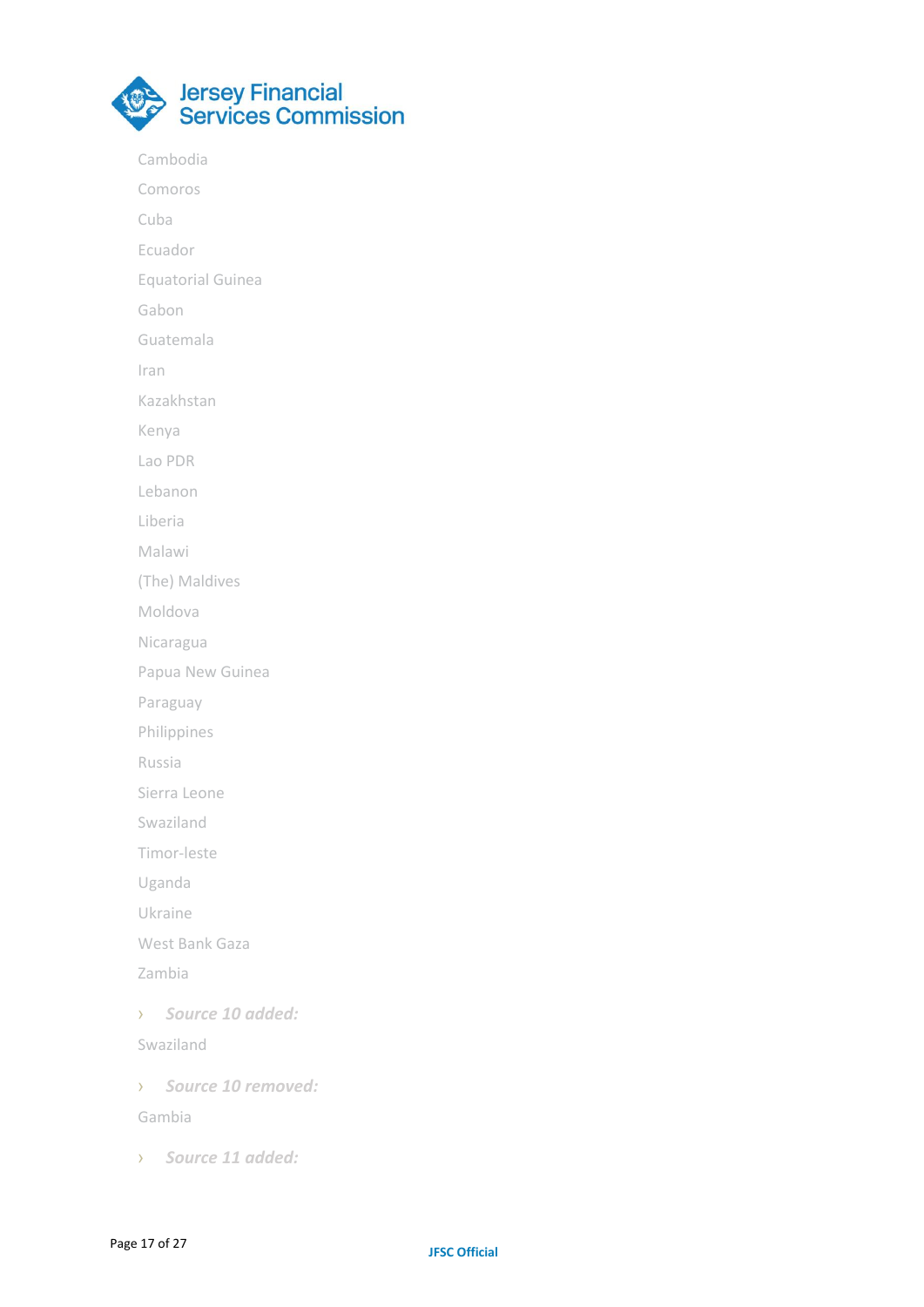

Cambodia

Comoros

Cuba

Ecuador

Equatorial Guinea

Gabon

Guatemala

Iran

Kazakhstan

Kenya

Lao PDR

Lebanon

Liberia

Malawi

(The) Maldives

Moldova

Nicaragua

Papua New Guinea

Paraguay

Philippines

Russia

Sierra Leone

Swaziland

Timor-leste

Uganda

Ukraine

West Bank Gaza

Zambia

› *Source 10 added:*

Swaziland

› *Source 10 removed:*

Gambia

› *Source 11 added:*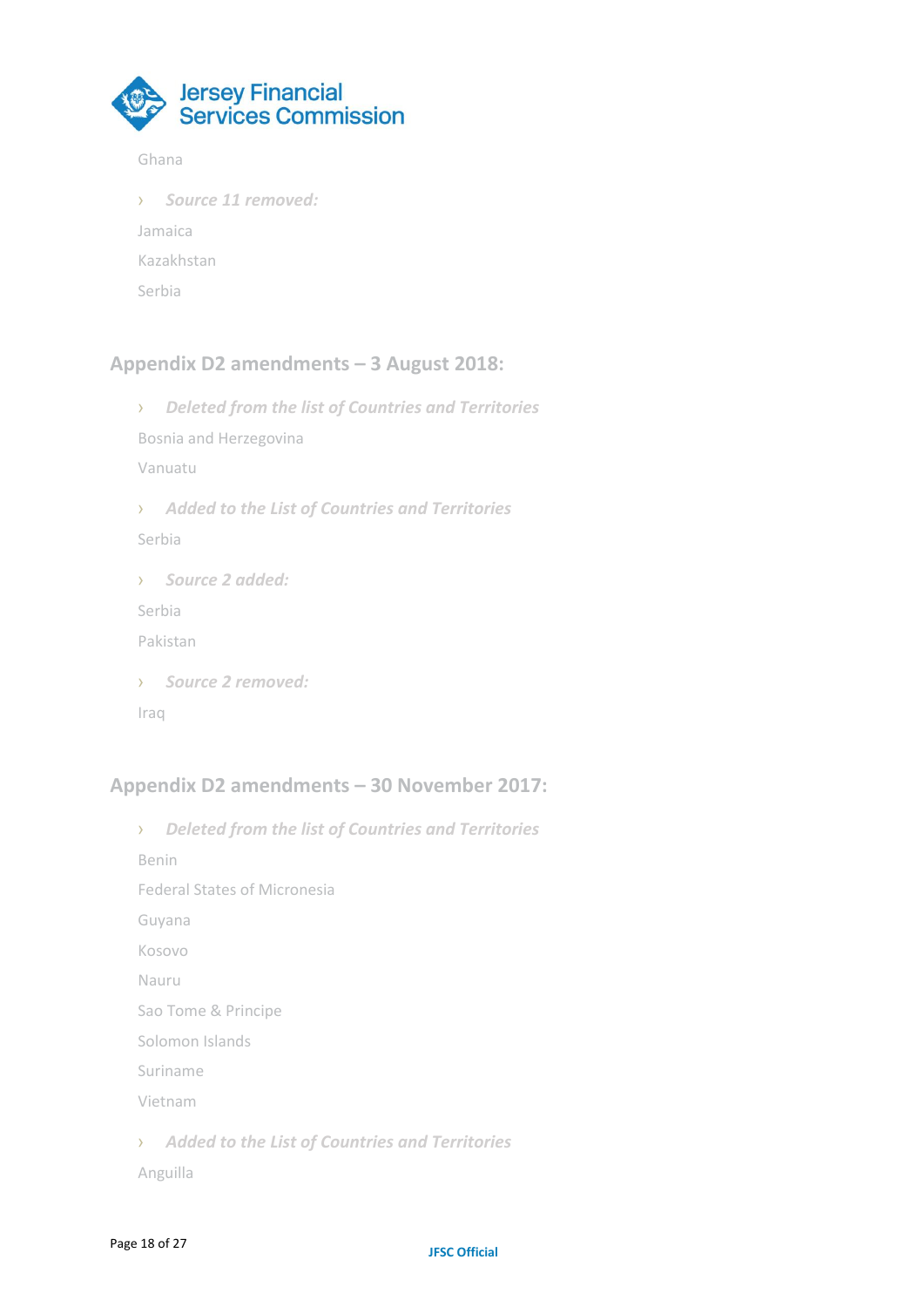

#### Ghana

› *Source 11 removed:* Jamaica Kazakhstan Serbia

### **Appendix D2 amendments – 3 August 2018:**

› *Deleted from the list of Countries and Territories* Bosnia and Herzegovina Vanuatu › *Added to the List of Countries and Territories* Serbia › *Source 2 added:* Serbia Pakistan › *Source 2 removed:* Iraq

### **Appendix D2 amendments – 30 November 2017:**

› *Deleted from the list of Countries and Territories* Benin Federal States of Micronesia Guyana Kosovo Nauru Sao Tome & Principe Solomon Islands Suriname Vietnam › *Added to the List of Countries and Territories* Anguilla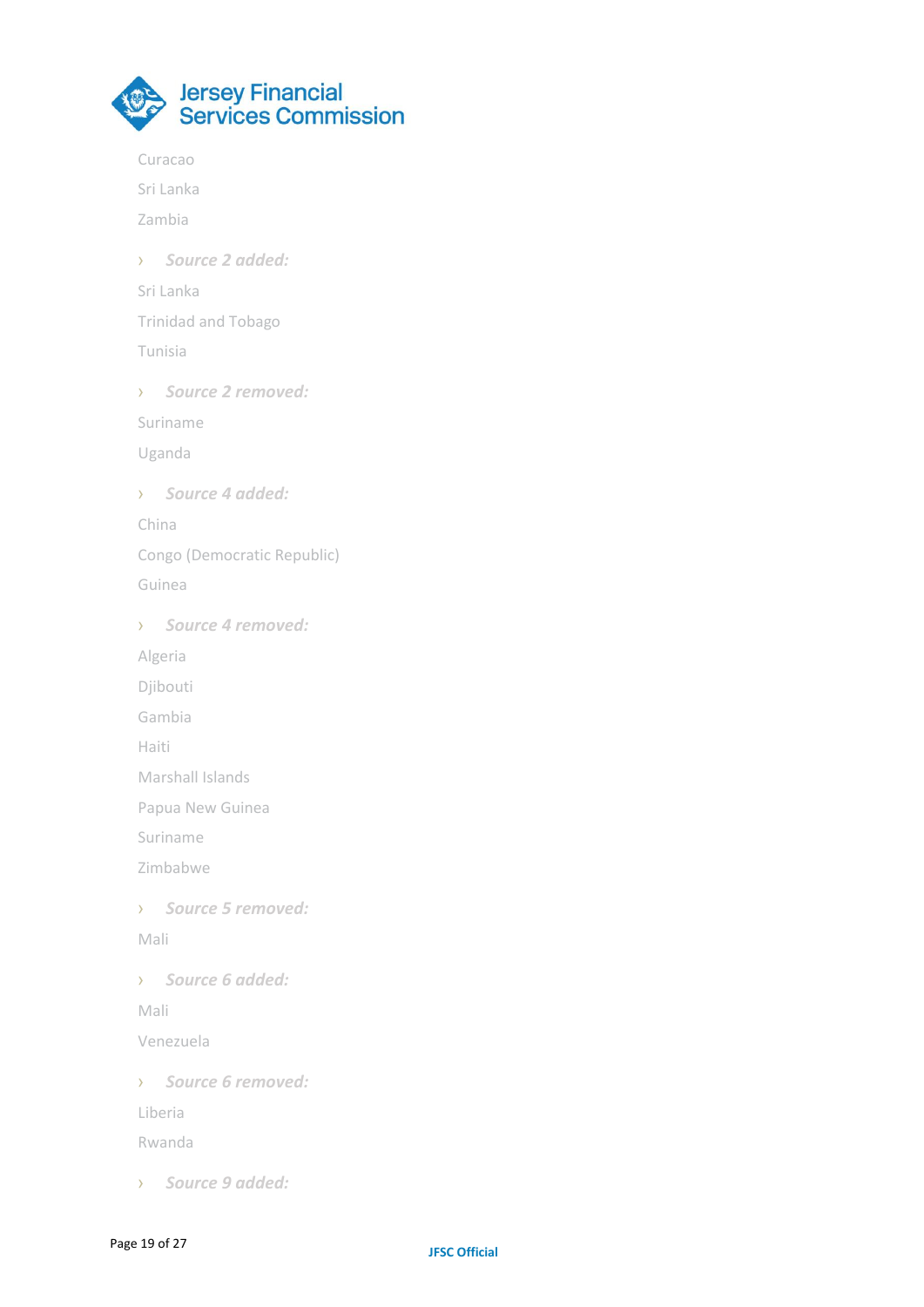

Curacao Sri Lanka Zambia › *Source 2 added:* Sri Lanka Trinidad and Tobago Tunisia › *Source 2 removed:* Suriname Uganda › *Source 4 added:* China Congo (Democratic Republic) Guinea › *Source 4 removed:* Algeria Djibouti Gambia Haiti Marshall Islands Papua New Guinea Suriname Zimbabwe › *Source 5 removed:* Mali › *Source 6 added:* Mali Venezuela › *Source 6 removed:* Liberia Rwanda › *Source 9 added:*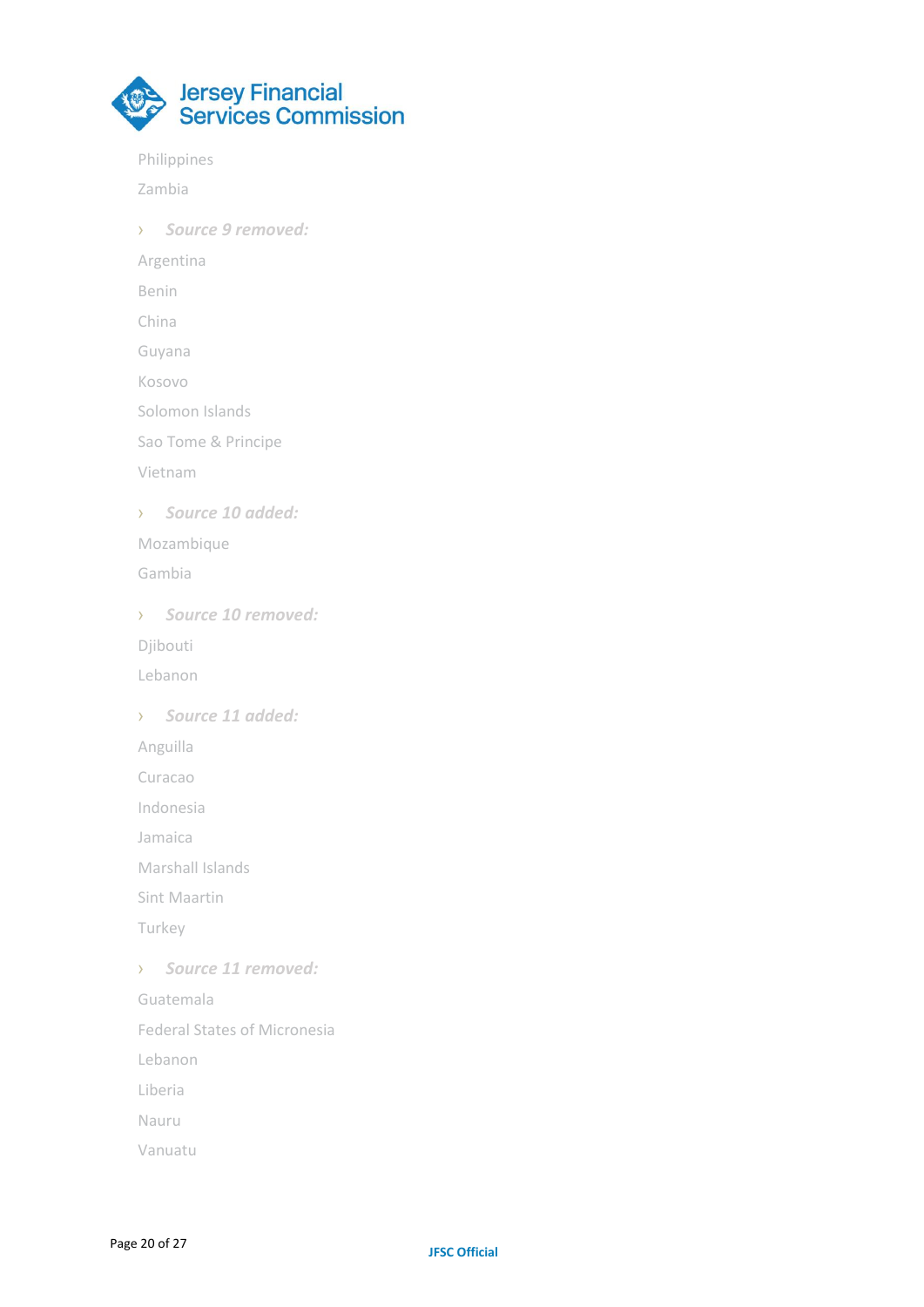

Philippines

Zambia

› *Source 9 removed:*

Argentina

Benin

China

Guyana

Kosovo

Solomon Islands

Sao Tome & Principe

Vietnam

› *Source 10 added:*

Mozambique

Gambia

› *Source 10 removed:* Djibouti Lebanon

› *Source 11 added:*

Anguilla

Curacao

Indonesia

Jamaica

Marshall Islands

Sint Maartin

Turkey

› *Source 11 removed:*

Guatemala

Federal States of Micronesia

Lebanon

Liberia

Nauru

Vanuatu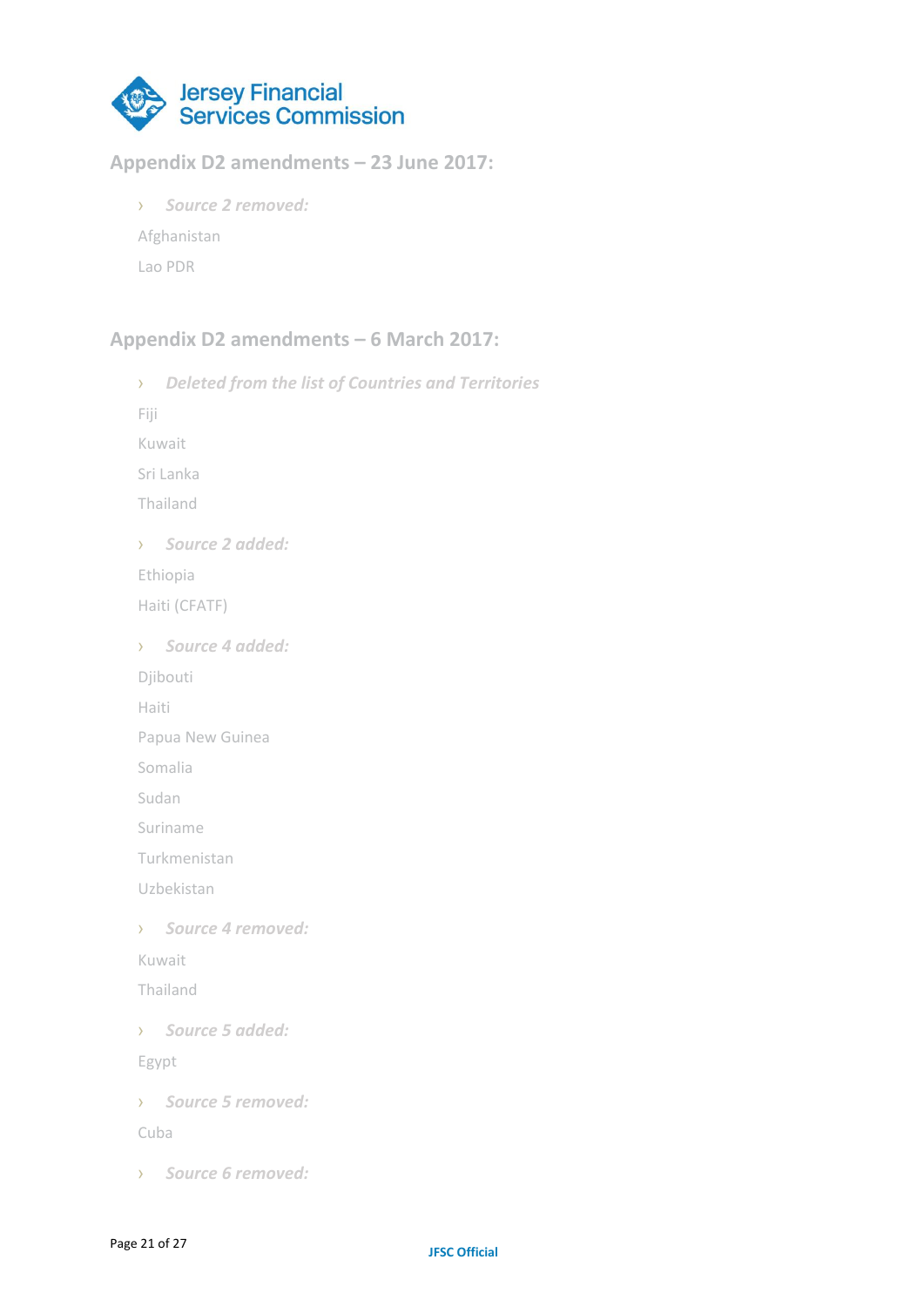

# **Appendix D2 amendments – 23 June 2017:**

› *Source 2 removed:* Afghanistan Lao PDR

# **Appendix D2 amendments – 6 March 2017:**

› *Deleted from the list of Countries and Territories* Fiji Kuwait Sri Lanka Thailand › *Source 2 added:* Ethiopia Haiti (CFATF) › *Source 4 added:* Djibouti Haiti Papua New Guinea Somalia Sudan Suriname Turkmenistan Uzbekistan › *Source 4 removed:* Kuwait Thailand › *Source 5 added:* Egypt › *Source 5 removed:* Cuba › *Source 6 removed:*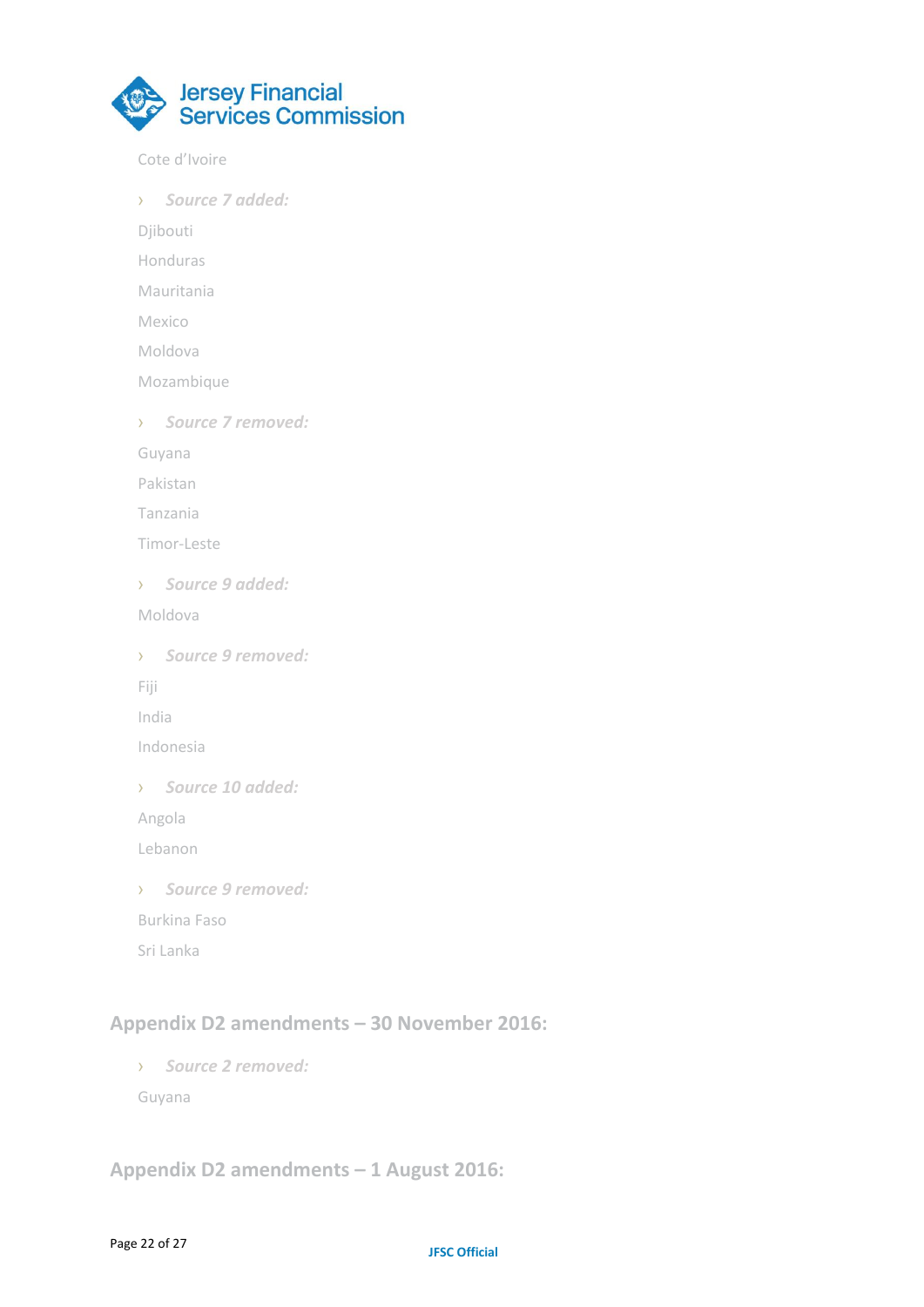

Cote d'Ivoire

› *Source 7 added:*

Djibouti

Honduras

Mauritania

Mexico

Moldova

Mozambique

› *Source 7 removed:*

Guyana

Pakistan

Tanzania

Timor-Leste

› *Source 9 added:*

Moldova

› *Source 9 removed:*

Fiji

India

Indonesia

› *Source 10 added:*

Angola

Lebanon

› *Source 9 removed:*

Burkina Faso

Sri Lanka

# **Appendix D2 amendments – 30 November 2016:**

› *Source 2 removed:* Guyana

# **Appendix D2 amendments – 1 August 2016:**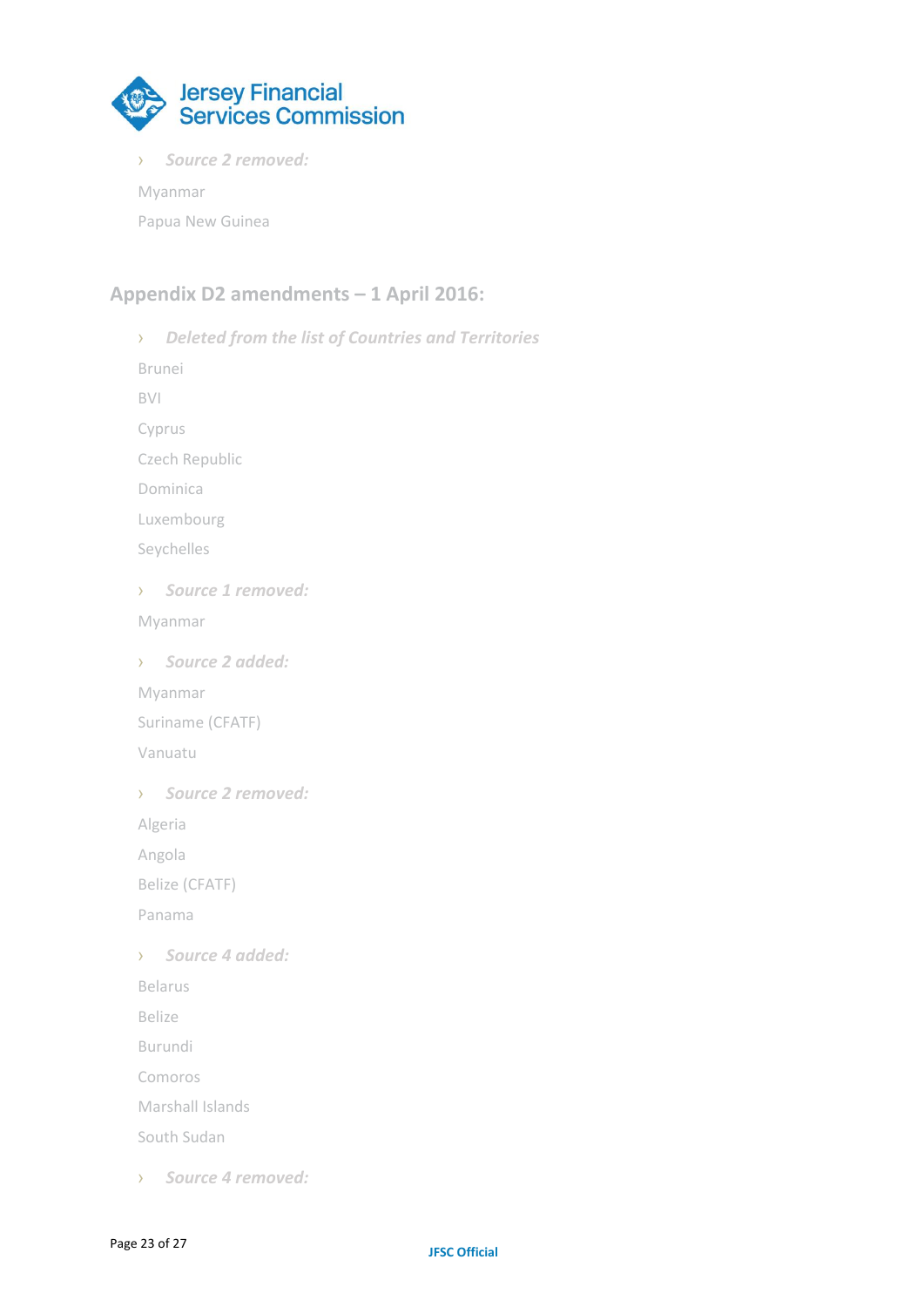

› *Source 2 removed:*

Myanmar

Papua New Guinea

## **Appendix D2 amendments – 1 April 2016:**

› *Deleted from the list of Countries and Territories* Brunei BVI Cyprus Czech Republic Dominica Luxembourg Seychelles › *Source 1 removed:* Myanmar › *Source 2 added:* Myanmar Suriname (CFATF) Vanuatu › *Source 2 removed:* Algeria Angola Belize (CFATF) Panama › *Source 4 added:* Belarus Belize Burundi Comoros Marshall Islands South Sudan › *Source 4 removed:*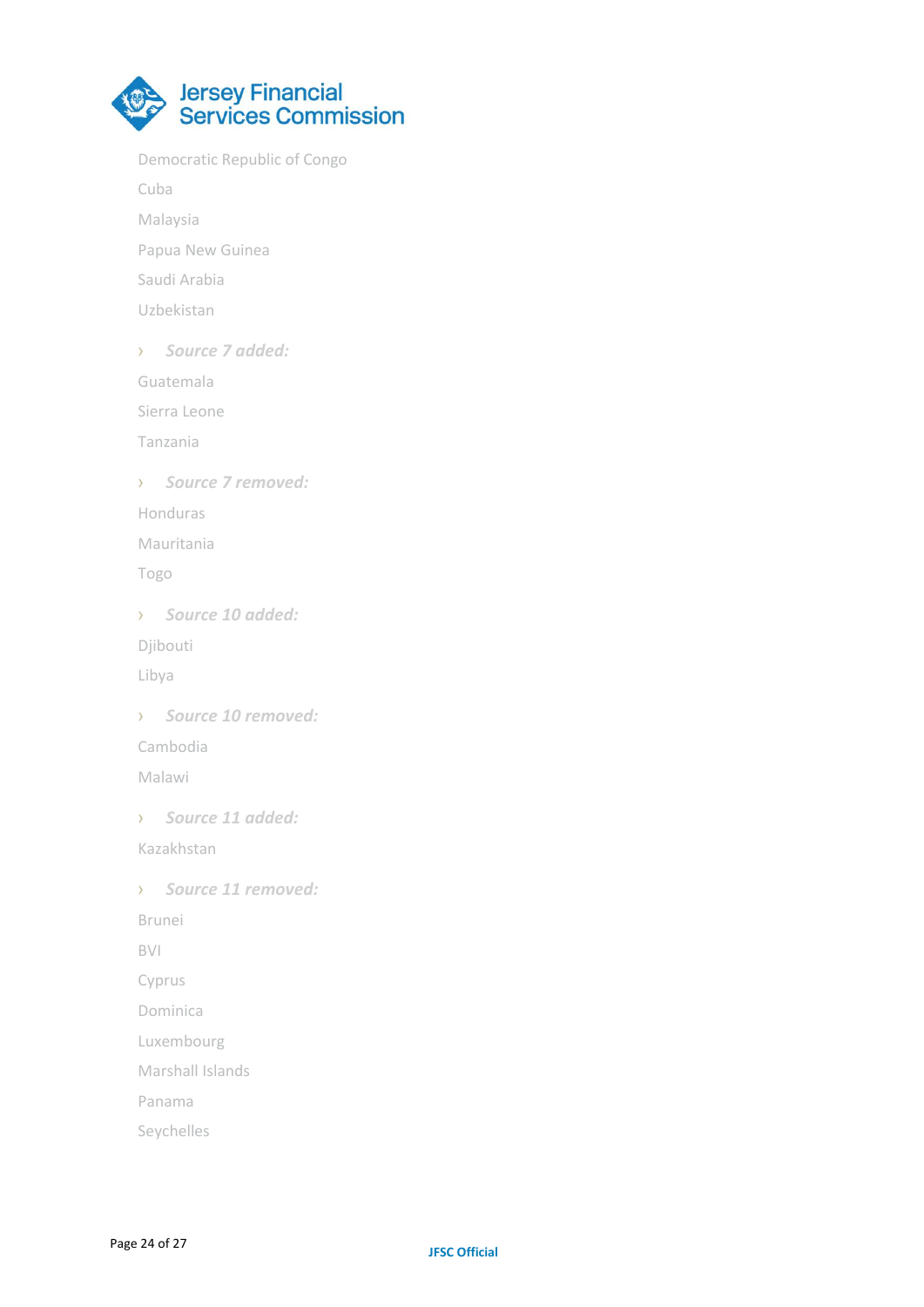

Democratic Republic of Congo

Cuba

- Malaysia
- Papua New Guinea
- Saudi Arabia
- Uzbekistan
- › *Source 7 added:*
- Guatemala
- Sierra Leone
- Tanzania
- › *Source 7 removed:*
- Honduras
- Mauritania
- Togo
- › *Source 10 added:*
- Djibouti
- Libya
- › *Source 10 removed:* Cambodia
- Malawi
- › *Source 11 added:*
- Kazakhstan
- › *Source 11 removed:*
- Brunei
- BVI
- Cyprus
- Dominica
- Luxembourg
- Marshall Islands
- Panama
- Seychelles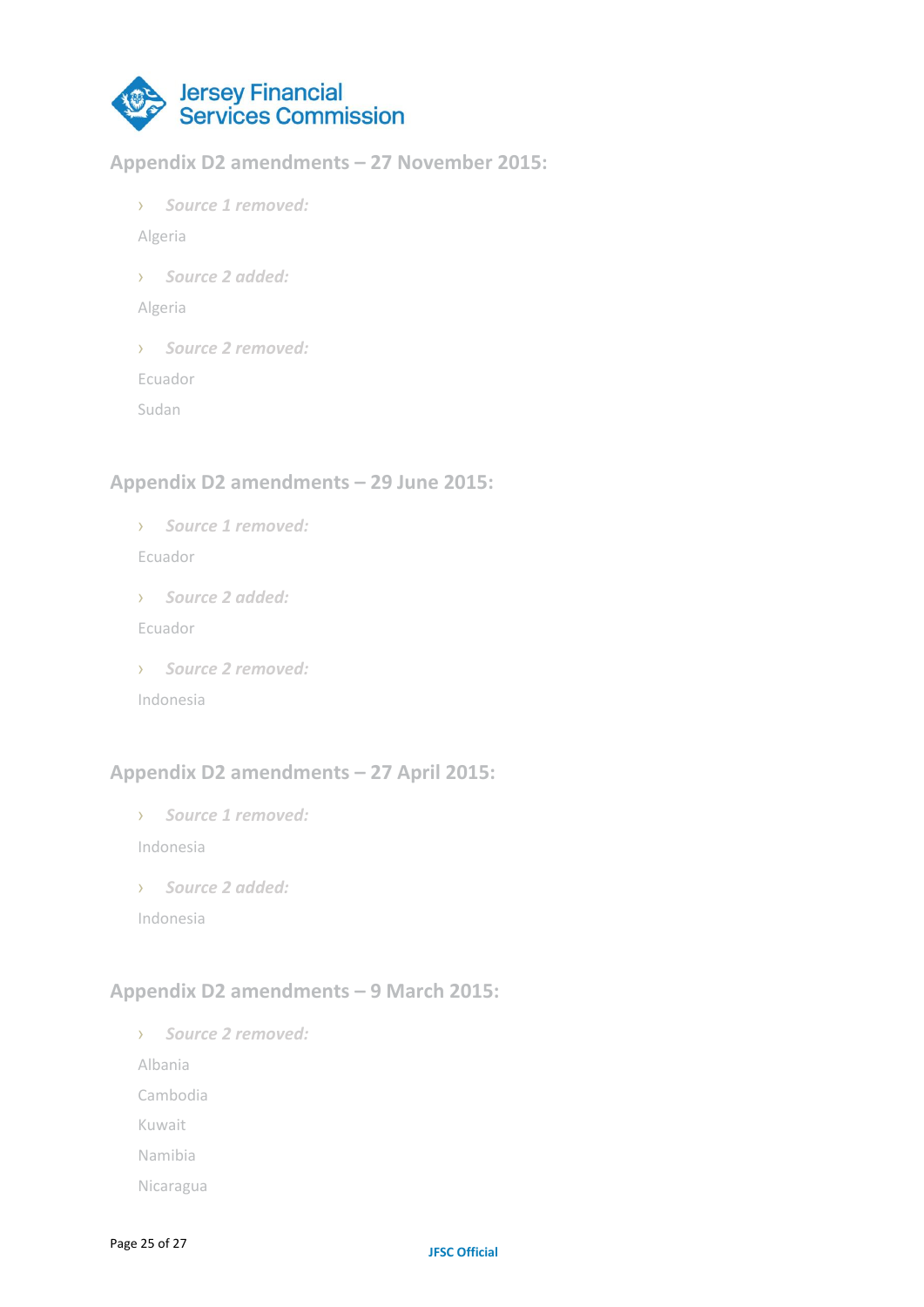

#### **Appendix D2 amendments – 27 November 2015:**

› *Source 1 removed:*

Algeria

› *Source 2 added:*

Algeria

› *Source 2 removed:*

Ecuador

Sudan

## **Appendix D2 amendments – 29 June 2015:**

› *Source 1 removed:*

Ecuador

› *Source 2 added:*

Ecuador

› *Source 2 removed:*

Indonesia

# **Appendix D2 amendments – 27 April 2015:**

› *Source 1 removed:*

Indonesia

› *Source 2 added:*

Indonesia

# **Appendix D2 amendments – 9 March 2015:**

› *Source 2 removed:*

Albania

Cambodia

Kuwait

Namibia

Nicaragua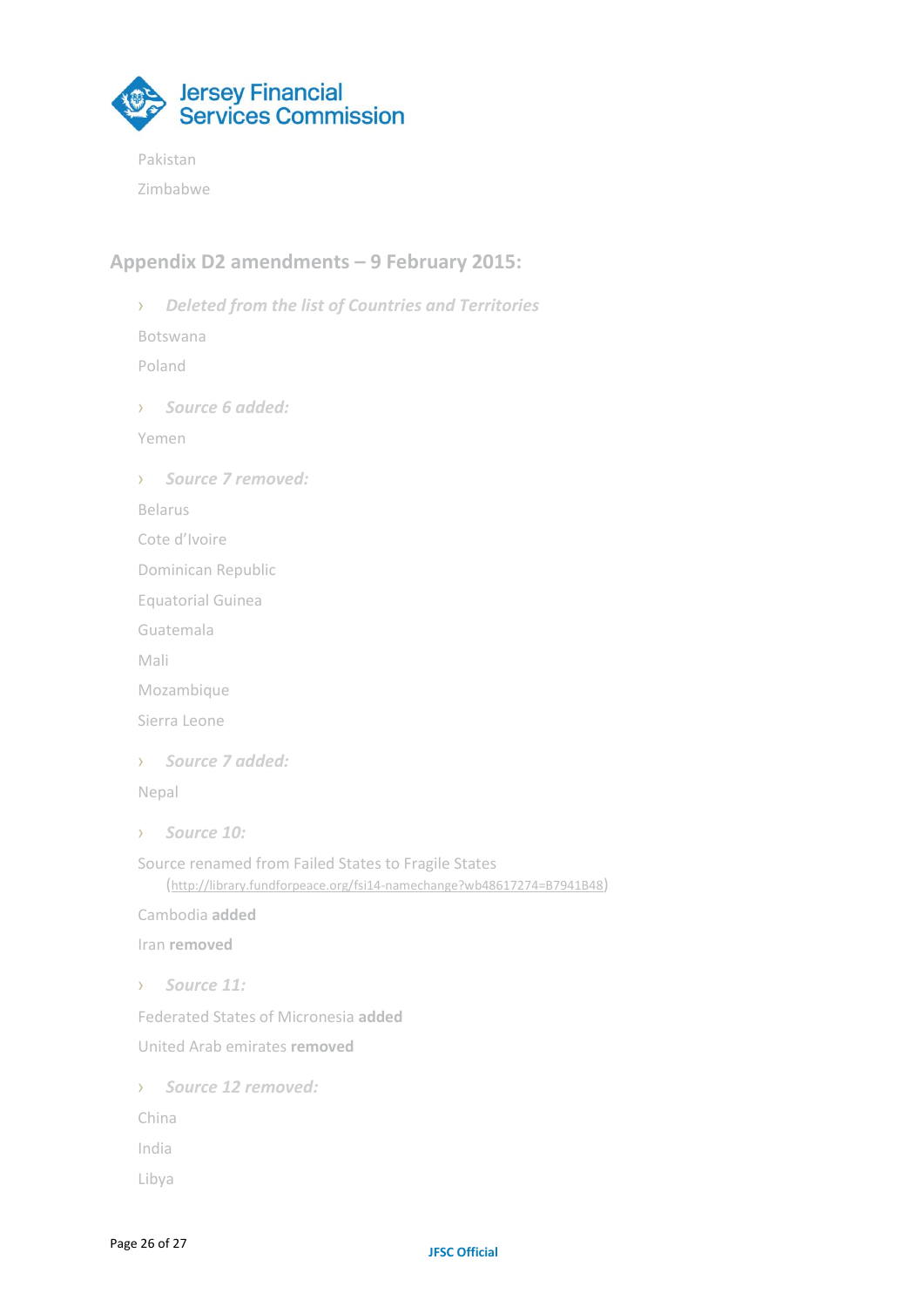

Pakistan

Zimbabwe

# **Appendix D2 amendments – 9 February 2015:**

› *Deleted from the list of Countries and Territories* Botswana Poland › *Source 6 added:*  Yemen › *Source 7 removed:* Belarus Cote d'Ivoire Dominican Republic Equatorial Guinea Guatemala Mali Mozambique Sierra Leone › *Source 7 added:* Nepal › *Source 10:* Source renamed from Failed States to Fragile States (<http://library.fundforpeace.org/fsi14-namechange?wb48617274=B7941B48>) Cambodia **added** Iran **removed** › *Source 11:* Federated States of Micronesia **added** United Arab emirates **removed** › *Source 12 removed:* China India Libya